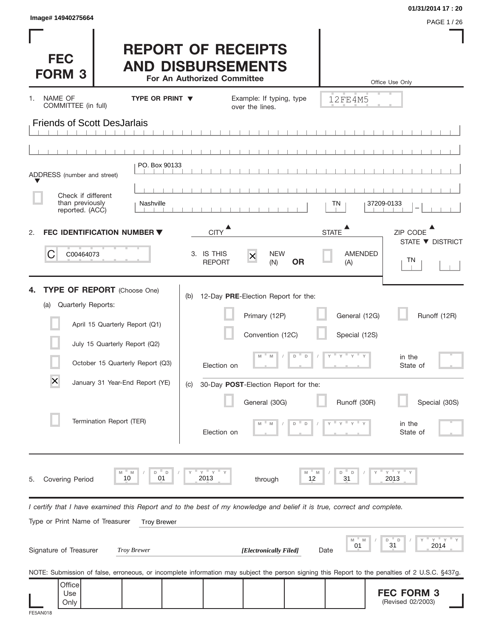| Image# 14940275664                                                                                                                                                                                                                                               |                        |                                          |                                                                                                                                                       |                                                                                | 01/31/2014 17:20<br>PAGE 1 / 26                                           |
|------------------------------------------------------------------------------------------------------------------------------------------------------------------------------------------------------------------------------------------------------------------|------------------------|------------------------------------------|-------------------------------------------------------------------------------------------------------------------------------------------------------|--------------------------------------------------------------------------------|---------------------------------------------------------------------------|
| <b>FEC</b><br><b>FORM 3</b>                                                                                                                                                                                                                                      |                        | For An Authorized Committee              | <b>REPORT OF RECEIPTS</b><br><b>AND DISBURSEMENTS</b>                                                                                                 |                                                                                | Office Use Only                                                           |
| NAME OF<br>1.<br>COMMITTEE (in full)                                                                                                                                                                                                                             | <b>TYPE OR PRINT ▼</b> |                                          | Example: If typing, type<br>over the lines.                                                                                                           | 12FE4M5                                                                        |                                                                           |
| <b>Friends of Scott DesJarlais</b>                                                                                                                                                                                                                               |                        |                                          |                                                                                                                                                       |                                                                                |                                                                           |
|                                                                                                                                                                                                                                                                  |                        |                                          |                                                                                                                                                       |                                                                                |                                                                           |
| ADDRESS (number and street)                                                                                                                                                                                                                                      | PO. Box 90133          |                                          |                                                                                                                                                       |                                                                                |                                                                           |
|                                                                                                                                                                                                                                                                  |                        |                                          |                                                                                                                                                       |                                                                                |                                                                           |
| Check if different<br>than previously<br>reported. (ACC)                                                                                                                                                                                                         | Nashville              |                                          |                                                                                                                                                       | ΤN                                                                             | 37209-0133                                                                |
| FEC IDENTIFICATION NUMBER ▼<br>2.                                                                                                                                                                                                                                |                        | <b>CITY</b>                              |                                                                                                                                                       | <b>STATE</b>                                                                   | ZIP CODE                                                                  |
| С<br>C00464073                                                                                                                                                                                                                                                   |                        | 3. IS THIS<br><b>REPORT</b>              | <b>NEW</b><br>$\overline{\mathsf{x}}$<br><b>OR</b><br>(N)                                                                                             | <b>AMENDED</b><br>(A)                                                          | STATE ▼ DISTRICT<br>ΤN                                                    |
| <b>TYPE OF REPORT</b> (Choose One)<br>Quarterly Reports:<br>(a)<br>April 15 Quarterly Report (Q1)<br>July 15 Quarterly Report (Q2)<br>October 15 Quarterly Report (Q3)<br>$\overline{\mathsf{x}}$<br>January 31 Year-End Report (YE)<br>Termination Report (TER) |                        | (b)<br>Election on<br>(C)<br>Election on | 12-Day PRE-Election Report for the:<br>Primary (12P)<br>Convention (12C)<br>D<br>M<br>M<br>30-Day POST-Election Report for the:<br>General (30G)<br>D | General (12G)<br>Special (12S)<br>$-\gamma + \gamma$<br>$\Box$<br>Runoff (30R) | Runoff (12R)<br>in the<br>State of<br>Special (30S)<br>in the<br>State of |
| M<br>10<br>Covering Period<br>5.                                                                                                                                                                                                                                 | M<br>D<br>D<br>01      | $Y$ $Y$<br>2013                          | through                                                                                                                                               | M<br>D<br>$\Box$<br>M<br>31<br>12                                              | " Y<br>Y<br>2013                                                          |
| I certify that I have examined this Report and to the best of my knowledge and belief it is true, correct and complete.                                                                                                                                          |                        |                                          |                                                                                                                                                       |                                                                                |                                                                           |
| Type or Print Name of Treasurer                                                                                                                                                                                                                                  | <b>Troy Brewer</b>     |                                          |                                                                                                                                                       | M<br>M<br>01                                                                   | ΞY.<br>Y<br>D<br>$\mathsf D$<br>31<br>2014                                |
| Signature of Treasurer                                                                                                                                                                                                                                           | Troy Brewer            |                                          | [Electronically Filed]                                                                                                                                | Date                                                                           |                                                                           |
| NOTE: Submission of false, erroneous, or incomplete information may subject the person signing this Report to the penalties of 2 U.S.C. §437g.<br>Office                                                                                                         |                        |                                          |                                                                                                                                                       |                                                                                |                                                                           |
| Use<br>Only<br>FE5AN018                                                                                                                                                                                                                                          |                        |                                          |                                                                                                                                                       |                                                                                | <b>FEC FORM 3</b><br>(Revised 02/2003)                                    |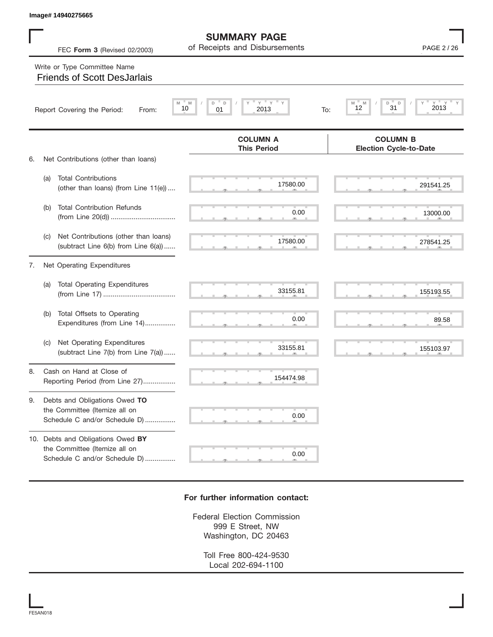|    |     | Image# 14940275665                                                                                         |                                                             |                                                  |
|----|-----|------------------------------------------------------------------------------------------------------------|-------------------------------------------------------------|--------------------------------------------------|
|    |     | FEC Form 3 (Revised 02/2003)                                                                               | <b>SUMMARY PAGE</b><br>of Receipts and Disbursements        | PAGE 2 / 26                                      |
|    |     | Write or Type Committee Name<br><b>Friends of Scott DesJarlais</b>                                         |                                                             |                                                  |
|    |     | Report Covering the Period:<br>From:                                                                       | $\mathbf{Y}$<br>Y<br>D<br>D<br>M<br>10<br>01<br>2013<br>To: | 2013<br>M<br>D<br>D<br>M<br>31<br>12             |
|    |     |                                                                                                            | <b>COLUMN A</b><br><b>This Period</b>                       | <b>COLUMN B</b><br><b>Election Cycle-to-Date</b> |
| 6. | (a) | Net Contributions (other than loans)<br><b>Total Contributions</b><br>(other than loans) (from Line 11(e)) | 17580.00                                                    | 291541.25                                        |
|    | (b) | <b>Total Contribution Refunds</b>                                                                          | 0.00                                                        | 13000.00                                         |
|    | (C) | Net Contributions (other than loans)<br>(subtract Line 6(b) from Line 6(a))                                | 17580.00                                                    | 278541.25                                        |
| 7. |     | Net Operating Expenditures                                                                                 |                                                             |                                                  |
|    | (a) | <b>Total Operating Expenditures</b>                                                                        | 33155.81                                                    | 155193.55                                        |
|    | (b) | Total Offsets to Operating<br>Expenditures (from Line 14)                                                  | 0.00                                                        | 89.58                                            |
|    | (C) | Net Operating Expenditures<br>(subtract Line 7(b) from Line 7(a))                                          | 33155.81                                                    | 155103.97                                        |
| 8  |     | Cash on Hand at Close of<br>Reporting Period (from Line 27)                                                | 154474.98                                                   |                                                  |
| 9. |     | Debts and Obligations Owed TO<br>the Committee (Itemize all on<br>Schedule C and/or Schedule D)            | 0.00                                                        |                                                  |
|    |     | 10. Debts and Obligations Owed BY<br>the Committee (Itemize all on<br>Schedule C and/or Schedule D)        | 0.00                                                        |                                                  |

## **For further information contact:**

Federal Election Commission 999 E Street, NW Washington, DC 20463

> Toll Free 800-424-9530 Local 202-694-1100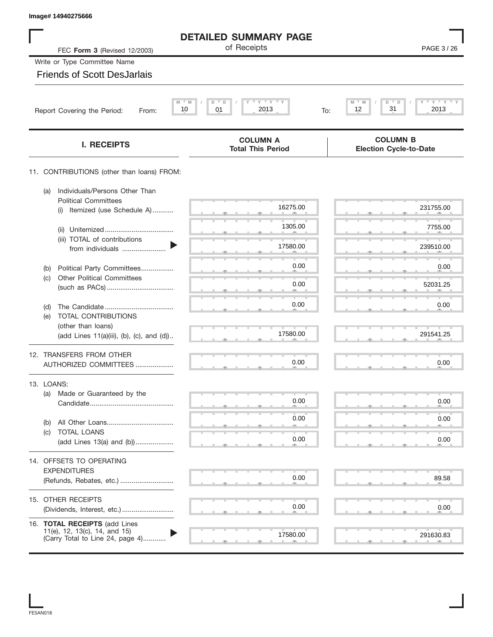| Image# 14940275666                                                                                 |                                                |                                                  |
|----------------------------------------------------------------------------------------------------|------------------------------------------------|--------------------------------------------------|
|                                                                                                    | <b>DETAILED SUMMARY PAGE</b>                   |                                                  |
| FEC Form 3 (Revised 12/2003)                                                                       | of Receipts                                    | PAGE 3/26                                        |
| Write or Type Committee Name                                                                       |                                                |                                                  |
| <b>Friends of Scott DesJarlais</b>                                                                 |                                                |                                                  |
| $M = M$<br>10<br>Report Covering the Period:<br>From:                                              | $Y$ $Y$ $Y$ $Y$<br>D<br>D<br>01<br>2013<br>To: | $Y$ $Y$ $Y$ $Y$<br>M<br>D<br>31<br>12<br>2013    |
| <b>I. RECEIPTS</b>                                                                                 | <b>COLUMN A</b><br><b>Total This Period</b>    | <b>COLUMN B</b><br><b>Election Cycle-to-Date</b> |
| 11. CONTRIBUTIONS (other than loans) FROM:                                                         |                                                |                                                  |
| Individuals/Persons Other Than<br>(a)<br><b>Political Committees</b>                               |                                                |                                                  |
| Itemized (use Schedule A)<br>(i)                                                                   | 16275.00                                       | 231755.00                                        |
| (ii)<br>(iii) TOTAL of contributions                                                               | 1305.00                                        | 7755.00                                          |
| from individuals                                                                                   | 17580.00                                       | 239510.00                                        |
| Political Party Committees<br>(b)                                                                  | 0.00                                           | 0.00                                             |
| <b>Other Political Committees</b><br>(c)                                                           | 0.00                                           | 52031.25                                         |
| (d)                                                                                                | 0.00                                           | 0.00                                             |
| TOTAL CONTRIBUTIONS<br>(e)<br>(other than loans)                                                   |                                                |                                                  |
| (add Lines 11(a)(iii), (b), (c), and (d))                                                          | 17580.00                                       | 291541.25                                        |
| 12. TRANSFERS FROM OTHER<br>AUTHORIZED COMMITTEES                                                  | 0.00                                           | 0.00                                             |
| 13. LOANS:                                                                                         |                                                |                                                  |
| Made or Guaranteed by the<br>(a)                                                                   | 0.00                                           | 0.00                                             |
| (b)                                                                                                | 0.00                                           | 0.00                                             |
| TOTAL LOANS<br>(c)<br>(add Lines 13(a) and (b))                                                    | 0.00                                           | 0.00                                             |
| 14. OFFSETS TO OPERATING                                                                           |                                                |                                                  |
| <b>EXPENDITURES</b>                                                                                | 0.00                                           | 89.58                                            |
| (Refunds, Rebates, etc.)                                                                           |                                                |                                                  |
| 15. OTHER RECEIPTS                                                                                 | 0.00                                           | 0.00                                             |
|                                                                                                    |                                                |                                                  |
| 16. TOTAL RECEIPTS (add Lines<br>11(e), 12, 13(c), 14, and 15)<br>(Carry Total to Line 24, page 4) | 17580.00                                       | 291630.83                                        |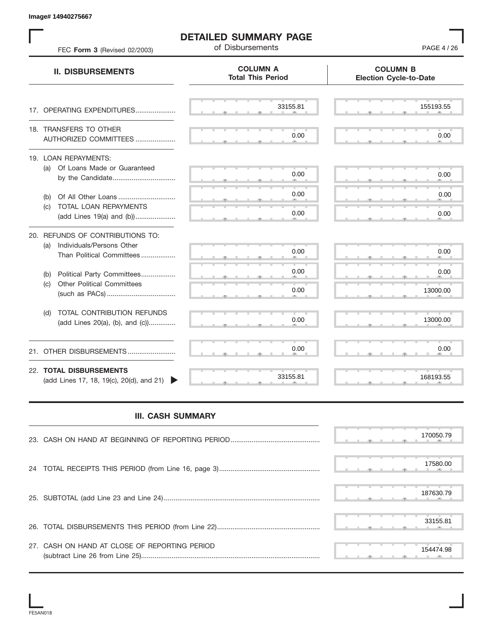|                                                                               | <b>DETAILED SUMMARY PAGE</b><br>of Disbursements | PAGE 4 / 26                                      |
|-------------------------------------------------------------------------------|--------------------------------------------------|--------------------------------------------------|
| FEC Form 3 (Revised 02/2003)<br><b>II. DISBURSEMENTS</b>                      | <b>COLUMN A</b><br><b>Total This Period</b>      | <b>COLUMN B</b><br><b>Election Cycle-to-Date</b> |
| 17. OPERATING EXPENDITURES                                                    | 33155.81                                         | 155193.55                                        |
|                                                                               |                                                  |                                                  |
| 18. TRANSFERS TO OTHER<br>AUTHORIZED COMMITTEES                               | 0.00                                             | 0.00                                             |
| 19. LOAN REPAYMENTS:<br>(a) Of Loans Made or Guaranteed                       | 0.00                                             | 0.00                                             |
| Of All Other Loans<br>(b)                                                     | 0.00                                             | 0.00                                             |
| TOTAL LOAN REPAYMENTS<br>(C)<br>(add Lines 19(a) and (b))                     | 0.00                                             | 0.00                                             |
| 20. REFUNDS OF CONTRIBUTIONS TO:<br>Individuals/Persons Other<br>(a)          |                                                  |                                                  |
| Than Political Committees                                                     | 0.00                                             | 0.00                                             |
| Political Party Committees<br>(b)<br><b>Other Political Committees</b><br>(C) | 0.00                                             | 0.00                                             |
|                                                                               | 0.00                                             | 13000.00                                         |
| TOTAL CONTRIBUTION REFUNDS<br>(d)<br>(add Lines 20(a), (b), and (c))          | 0.00                                             | 13000.00                                         |
| 21. OTHER DISBURSEMENTS                                                       | 0.00                                             | 0.00                                             |
| 22. TOTAL DISBURSEMENTS<br>(add Lines 17, 18, 19(c), 20(d), and 21)           | 33155.81                                         | 168193.55                                        |
| <b>III. CASH SUMMARY</b>                                                      |                                                  |                                                  |
|                                                                               |                                                  | 170050.79                                        |
| 24                                                                            |                                                  | 17580.00                                         |
|                                                                               |                                                  | 187630.79                                        |
|                                                                               |                                                  | 33155.81                                         |
| 27. CASH ON HAND AT CLOSE OF REPORTING PERIOD                                 |                                                  | 154474.98                                        |

## **III. CASH SUMMARY**

|                                               | 170050.79 |
|-----------------------------------------------|-----------|
|                                               | 17580.00  |
|                                               | 187630.79 |
|                                               | 33155.81  |
| 27. CASH ON HAND AT CLOSE OF REPORTING PERIOD | 154474.98 |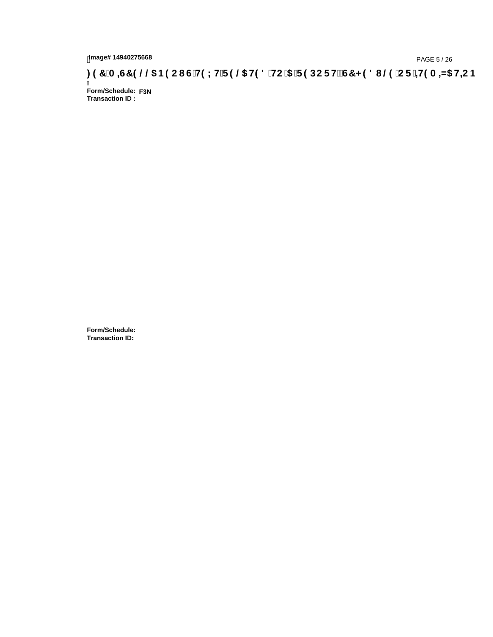## tmage#14940275668<br>DAGE 5/26 PAGE 5/26 PAGE 5/26<br>**DAGE 14940275668 SACI G`H9LH`F9 @ H98** HC '5 'F9DCFH2C7 < 981 @ 'CF '<del>41</del>9 A <del>A</del>5 H=CB :

Ī **Form/Schedule: F3NTransaction ID :** 

**Form/Schedule: Transaction ID:**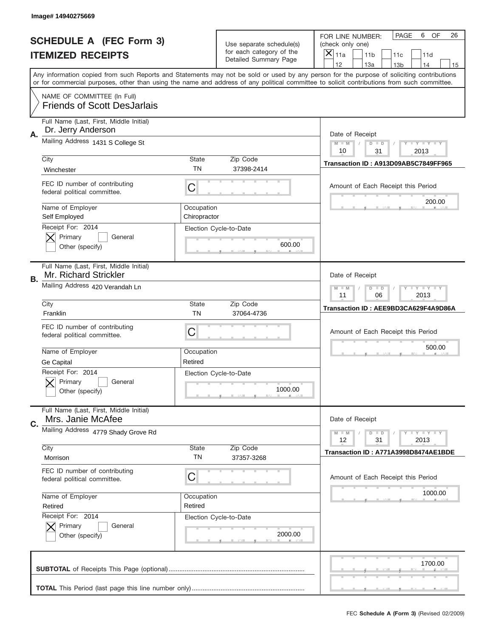|    | Image# 14940275669                                                |                            |                                                      |                                                                                                                                                                                                                                                                                                                                     |
|----|-------------------------------------------------------------------|----------------------------|------------------------------------------------------|-------------------------------------------------------------------------------------------------------------------------------------------------------------------------------------------------------------------------------------------------------------------------------------------------------------------------------------|
|    | <b>SCHEDULE A (FEC Form 3)</b>                                    |                            | Use separate schedule(s)<br>for each category of the | PAGE<br>OF<br>6<br>26<br>FOR LINE NUMBER:<br>(check only one)                                                                                                                                                                                                                                                                       |
|    | <b>ITEMIZED RECEIPTS</b>                                          |                            | Detailed Summary Page                                | ×<br>11a<br>11 <sub>b</sub><br>11c<br>11d                                                                                                                                                                                                                                                                                           |
|    |                                                                   |                            |                                                      | 12<br>13a<br>14<br>13 <sub>b</sub><br>15<br>Any information copied from such Reports and Statements may not be sold or used by any person for the purpose of soliciting contributions<br>or for commercial purposes, other than using the name and address of any political committee to solicit contributions from such committee. |
|    | NAME OF COMMITTEE (In Full)<br><b>Friends of Scott DesJarlais</b> |                            |                                                      |                                                                                                                                                                                                                                                                                                                                     |
| Α. | Full Name (Last, First, Middle Initial)<br>Dr. Jerry Anderson     |                            |                                                      | Date of Receipt                                                                                                                                                                                                                                                                                                                     |
|    | Mailing Address 1431 S College St                                 |                            |                                                      | $M - M$<br>$\mathbf{I}$ $\mathbf{Y}$ $\mathbf{I}$ $\mathbf{Y}$ $\mathbf{I}$ $\mathbf{Y}$<br>$D$ $D$<br>10<br>31<br>2013                                                                                                                                                                                                             |
|    | City<br>Winchester                                                | State<br>TN                | Zip Code<br>37398-2414                               | Transaction ID: A913D09AB5C7849FF965                                                                                                                                                                                                                                                                                                |
|    | FEC ID number of contributing<br>federal political committee.     | C                          |                                                      | Amount of Each Receipt this Period<br>200.00                                                                                                                                                                                                                                                                                        |
|    | Name of Employer<br>Self Employed<br>Receipt For: 2014            | Occupation<br>Chiropractor |                                                      |                                                                                                                                                                                                                                                                                                                                     |
|    | Primary<br>General<br>Other (specify)                             |                            | Election Cycle-to-Date<br>600.00                     |                                                                                                                                                                                                                                                                                                                                     |
| В. | Full Name (Last, First, Middle Initial)<br>Mr. Richard Strickler  |                            |                                                      | Date of Receipt                                                                                                                                                                                                                                                                                                                     |
|    | Mailing Address 420 Verandah Ln                                   |                            |                                                      | $\mathbf{I}$ $\mathbf{Y}$ $\mathbf{I}$ $\mathbf{Y}$ $\mathbf{I}$ $\mathbf{Y}$<br>$M - M$<br>$D$ $D$<br>11<br>06<br>2013                                                                                                                                                                                                             |
|    | City<br>Franklin                                                  | State<br><b>TN</b>         | Zip Code<br>37064-4736                               | Transaction ID: AEE9BD3CA629F4A9D86A                                                                                                                                                                                                                                                                                                |
|    | FEC ID number of contributing<br>federal political committee.     | C                          |                                                      | Amount of Each Receipt this Period                                                                                                                                                                                                                                                                                                  |
|    | Name of Employer<br>Ge Capital                                    | Occupation<br>Retired      |                                                      | 500.00                                                                                                                                                                                                                                                                                                                              |
|    | Receipt For: 2014<br>General<br>Primary<br>Other (specify)        |                            | Election Cycle-to-Date<br>1000.00                    |                                                                                                                                                                                                                                                                                                                                     |
| C. | Full Name (Last, First, Middle Initial)<br>Mrs. Janie McAfee      |                            |                                                      | Date of Receipt                                                                                                                                                                                                                                                                                                                     |
|    | Mailing Address 4779 Shady Grove Rd                               |                            |                                                      | $\mathbf{I}$ $\mathbf{Y}$ $\mathbf{I}$ $\mathbf{Y}$ $\mathbf{I}$ $\mathbf{Y}$<br>$M - M$<br>$D$ $D$<br>12<br>2013<br>31                                                                                                                                                                                                             |
|    | City<br>Morrison                                                  | State<br>TN                | Zip Code<br>37357-3268                               | Transaction ID: A771A3998D8474AE1BDE                                                                                                                                                                                                                                                                                                |
|    | FEC ID number of contributing<br>federal political committee.     | C                          |                                                      | Amount of Each Receipt this Period                                                                                                                                                                                                                                                                                                  |
|    | Name of Employer<br>Retired                                       | Occupation<br>Retired      |                                                      | 1000.00                                                                                                                                                                                                                                                                                                                             |
|    | Receipt For: 2014<br>Primary<br>General<br>Other (specify)        |                            | Election Cycle-to-Date<br>2000.00                    |                                                                                                                                                                                                                                                                                                                                     |
|    |                                                                   |                            |                                                      | 1700.00                                                                                                                                                                                                                                                                                                                             |
|    |                                                                   |                            |                                                      |                                                                                                                                                                                                                                                                                                                                     |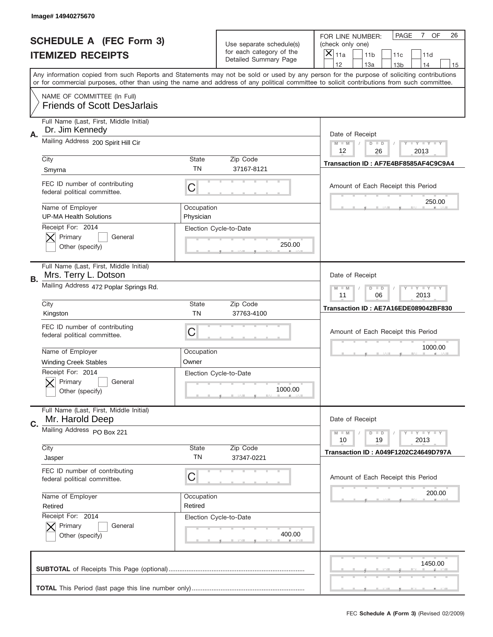|    | Image#14940275670                                                 |                         |                                                   |                                                                                                                                                                                                                                                                                                                                     |
|----|-------------------------------------------------------------------|-------------------------|---------------------------------------------------|-------------------------------------------------------------------------------------------------------------------------------------------------------------------------------------------------------------------------------------------------------------------------------------------------------------------------------------|
|    | <b>SCHEDULE A (FEC Form 3)</b>                                    |                         | Use separate schedule(s)                          | OF<br><b>PAGE</b><br>$7^{\circ}$<br>26<br>FOR LINE NUMBER:<br>(check only one)                                                                                                                                                                                                                                                      |
|    | <b>ITEMIZED RECEIPTS</b>                                          |                         | for each category of the<br>Detailed Summary Page | ×<br>11a<br>11 <sub>b</sub><br>11c<br>11d                                                                                                                                                                                                                                                                                           |
|    |                                                                   |                         |                                                   | 12<br>13a<br>14<br>13 <sub>b</sub><br>15<br>Any information copied from such Reports and Statements may not be sold or used by any person for the purpose of soliciting contributions<br>or for commercial purposes, other than using the name and address of any political committee to solicit contributions from such committee. |
|    | NAME OF COMMITTEE (In Full)<br><b>Friends of Scott DesJarlais</b> |                         |                                                   |                                                                                                                                                                                                                                                                                                                                     |
| Α. | Full Name (Last, First, Middle Initial)<br>Dr. Jim Kennedy        |                         |                                                   | Date of Receipt                                                                                                                                                                                                                                                                                                                     |
|    | Mailing Address 200 Spirit Hill Cir                               |                         |                                                   | $M - M$<br>$-1$ $-1$ $-1$ $-1$ $-1$<br>$D$ $D$<br>12<br>26<br>2013                                                                                                                                                                                                                                                                  |
|    | City<br>Smyrna                                                    | State<br>TN             | Zip Code<br>37167-8121                            | Transaction ID: AF7E4BF8585AF4C9C9A4                                                                                                                                                                                                                                                                                                |
|    | FEC ID number of contributing<br>federal political committee.     | C                       |                                                   | Amount of Each Receipt this Period<br>250.00                                                                                                                                                                                                                                                                                        |
|    | Name of Employer<br><b>UP-MA Health Solutions</b>                 | Occupation<br>Physician |                                                   |                                                                                                                                                                                                                                                                                                                                     |
|    | Receipt For: 2014<br>Primary<br>General<br>Other (specify)        |                         | Election Cycle-to-Date<br>250.00                  |                                                                                                                                                                                                                                                                                                                                     |
| В. | Full Name (Last, First, Middle Initial)<br>Mrs. Terry L. Dotson   |                         |                                                   | Date of Receipt                                                                                                                                                                                                                                                                                                                     |
|    | Mailing Address 472 Poplar Springs Rd.                            |                         |                                                   | $M - M$<br>$D$ $D$<br>$\mathbf{I}$ $\mathbf{Y}$ $\mathbf{I}$ $\mathbf{Y}$ $\mathbf{I}$ $\mathbf{Y}$<br>11<br>06<br>2013                                                                                                                                                                                                             |
|    | City<br>Kingston                                                  | State<br><b>TN</b>      | Zip Code<br>37763-4100                            | Transaction ID: AE7A16EDE089042BF830                                                                                                                                                                                                                                                                                                |
|    | FEC ID number of contributing<br>federal political committee.     | C                       |                                                   | Amount of Each Receipt this Period                                                                                                                                                                                                                                                                                                  |
|    | Name of Employer<br><b>Winding Creek Stables</b>                  | Occupation<br>Owner     |                                                   | 1000.00                                                                                                                                                                                                                                                                                                                             |
|    | Receipt For: 2014<br>General<br>Primary<br>Other (specify)        |                         | Election Cycle-to-Date<br>1000.00                 |                                                                                                                                                                                                                                                                                                                                     |
| C. | Full Name (Last, First, Middle Initial)<br>Mr. Harold Deep        |                         |                                                   | Date of Receipt                                                                                                                                                                                                                                                                                                                     |
|    | Mailing Address PO Box 221                                        |                         | Zip Code                                          | <b>LYLYLY</b><br>$M - M$<br>$D$ $D$<br>10<br>2013<br>19                                                                                                                                                                                                                                                                             |
|    | City<br>Jasper                                                    | State<br>TN             | 37347-0221                                        | <b>Transaction ID: A049F1202C24649D797A</b>                                                                                                                                                                                                                                                                                         |
|    | FEC ID number of contributing<br>federal political committee.     | С                       |                                                   | Amount of Each Receipt this Period                                                                                                                                                                                                                                                                                                  |
|    | Name of Employer<br>Retired<br>Receipt For: 2014                  | Occupation<br>Retired   |                                                   | 200.00                                                                                                                                                                                                                                                                                                                              |
|    | Primary<br>General<br>Other (specify)                             |                         | Election Cycle-to-Date<br>400.00                  |                                                                                                                                                                                                                                                                                                                                     |
|    |                                                                   |                         |                                                   | 1450.00                                                                                                                                                                                                                                                                                                                             |
|    |                                                                   |                         |                                                   | _                                                                                                                                                                                                                                                                                                                                   |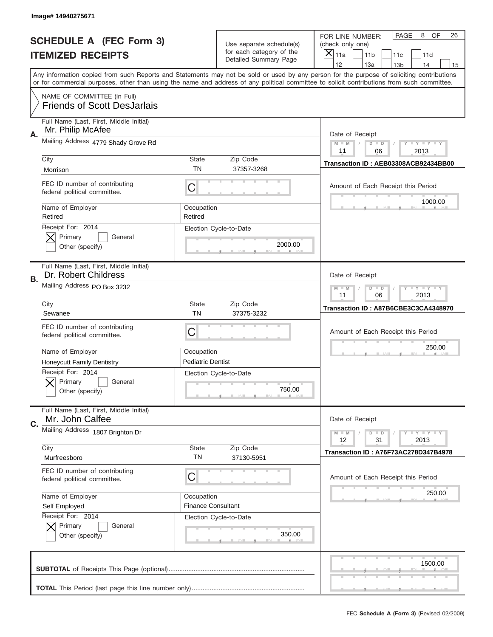|    | Image# 14940275671                                                |                                                           |                                                   |                                                                                                                                                                                                                                                                                                                                     |
|----|-------------------------------------------------------------------|-----------------------------------------------------------|---------------------------------------------------|-------------------------------------------------------------------------------------------------------------------------------------------------------------------------------------------------------------------------------------------------------------------------------------------------------------------------------------|
|    | <b>SCHEDULE A (FEC Form 3)</b>                                    |                                                           | Use separate schedule(s)                          | PAGE<br>8<br><b>OF</b><br>26<br>FOR LINE NUMBER:<br>(check only one)                                                                                                                                                                                                                                                                |
|    | <b>ITEMIZED RECEIPTS</b>                                          |                                                           | for each category of the<br>Detailed Summary Page | $\boldsymbol{\times}$<br>11a<br>11 <sub>b</sub><br>11c<br>11d                                                                                                                                                                                                                                                                       |
|    |                                                                   |                                                           |                                                   | 12<br>13a<br>14<br>13 <sub>b</sub><br>15<br>Any information copied from such Reports and Statements may not be sold or used by any person for the purpose of soliciting contributions<br>or for commercial purposes, other than using the name and address of any political committee to solicit contributions from such committee. |
|    | NAME OF COMMITTEE (In Full)<br><b>Friends of Scott DesJarlais</b> |                                                           |                                                   |                                                                                                                                                                                                                                                                                                                                     |
| Α. | Full Name (Last, First, Middle Initial)<br>Mr. Philip McAfee      |                                                           |                                                   | Date of Receipt                                                                                                                                                                                                                                                                                                                     |
|    | Mailing Address 4779 Shady Grove Rd                               |                                                           |                                                   | <b>LY LY LY</b><br>$M - M$<br>$D$ $D$<br>11<br>06<br>2013                                                                                                                                                                                                                                                                           |
|    | City<br>Morrison                                                  | State<br>TN                                               | Zip Code<br>37357-3268                            | Transaction ID: AEB03308ACB92434BB00                                                                                                                                                                                                                                                                                                |
|    | FEC ID number of contributing<br>federal political committee.     | C                                                         |                                                   | Amount of Each Receipt this Period<br>1000.00                                                                                                                                                                                                                                                                                       |
|    | Name of Employer<br>Retired                                       | Occupation<br>Retired                                     |                                                   |                                                                                                                                                                                                                                                                                                                                     |
|    | Receipt For: 2014<br>Primary<br>General<br>Other (specify)        |                                                           | Election Cycle-to-Date<br>2000.00                 |                                                                                                                                                                                                                                                                                                                                     |
| В. | Full Name (Last, First, Middle Initial)<br>Dr. Robert Childress   |                                                           |                                                   | Date of Receipt                                                                                                                                                                                                                                                                                                                     |
|    | Mailing Address PO Box 3232                                       | <b>LY LY LY</b><br>$D$ $D$<br>$M - M$<br>11<br>06<br>2013 |                                                   |                                                                                                                                                                                                                                                                                                                                     |
|    | City<br>Sewanee                                                   | <b>State</b><br><b>TN</b>                                 | Zip Code<br>37375-3232                            | Transaction ID: A87B6CBE3C3CA4348970                                                                                                                                                                                                                                                                                                |
|    | FEC ID number of contributing<br>federal political committee.     | C                                                         |                                                   | Amount of Each Receipt this Period                                                                                                                                                                                                                                                                                                  |
|    | Name of Employer<br><b>Honeycutt Family Dentistry</b>             | Occupation<br><b>Pediatric Dentist</b>                    |                                                   | 250.00                                                                                                                                                                                                                                                                                                                              |
|    | Receipt For: 2014<br>General<br>Primary<br>Other (specify)        |                                                           | Election Cycle-to-Date<br>750.00                  |                                                                                                                                                                                                                                                                                                                                     |
| C. | Full Name (Last, First, Middle Initial)<br>Mr. John Calfee        |                                                           |                                                   | Date of Receipt                                                                                                                                                                                                                                                                                                                     |
|    | Mailing Address 1807 Brighton Dr                                  |                                                           |                                                   | <b>LYLYLY</b><br>$M - M$<br>$D$ $D$<br>12<br>31<br>2013                                                                                                                                                                                                                                                                             |
|    | City<br>Murfreesboro                                              | State<br>TN                                               | Zip Code<br>37130-5951                            | Transaction ID: A76F73AC278D347B4978                                                                                                                                                                                                                                                                                                |
|    | FEC ID number of contributing<br>federal political committee.     | С                                                         |                                                   | Amount of Each Receipt this Period                                                                                                                                                                                                                                                                                                  |
|    | Name of Employer<br>Self Employed                                 | Occupation<br><b>Finance Consultant</b>                   |                                                   | 250.00                                                                                                                                                                                                                                                                                                                              |
|    | Receipt For: 2014<br>Primary<br>General<br>Other (specify)        |                                                           | Election Cycle-to-Date<br>350.00                  |                                                                                                                                                                                                                                                                                                                                     |
|    |                                                                   |                                                           |                                                   | 1500.00                                                                                                                                                                                                                                                                                                                             |
|    |                                                                   |                                                           |                                                   |                                                                                                                                                                                                                                                                                                                                     |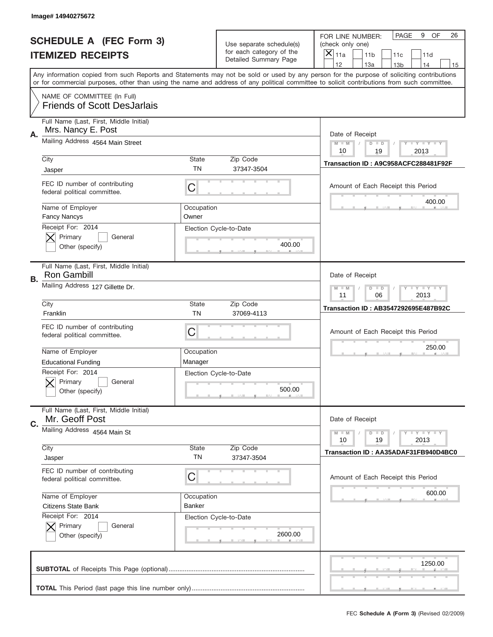|           | Image#14940275672                                                 |                       |                                                   |                                                                                                                                                                                                                                                                                                                                     |
|-----------|-------------------------------------------------------------------|-----------------------|---------------------------------------------------|-------------------------------------------------------------------------------------------------------------------------------------------------------------------------------------------------------------------------------------------------------------------------------------------------------------------------------------|
|           | <b>SCHEDULE A (FEC Form 3)</b>                                    |                       | Use separate schedule(s)                          | PAGE<br>OF<br>9<br>26<br>FOR LINE NUMBER:<br>(check only one)                                                                                                                                                                                                                                                                       |
|           | <b>ITEMIZED RECEIPTS</b>                                          |                       | for each category of the<br>Detailed Summary Page | ×<br>11a<br>11 <sub>b</sub><br>11c<br>11d                                                                                                                                                                                                                                                                                           |
|           |                                                                   |                       |                                                   | 12<br>13a<br>14<br>13 <sub>b</sub><br>15<br>Any information copied from such Reports and Statements may not be sold or used by any person for the purpose of soliciting contributions<br>or for commercial purposes, other than using the name and address of any political committee to solicit contributions from such committee. |
|           | NAME OF COMMITTEE (In Full)<br><b>Friends of Scott DesJarlais</b> |                       |                                                   |                                                                                                                                                                                                                                                                                                                                     |
| А.        | Full Name (Last, First, Middle Initial)<br>Mrs. Nancy E. Post     |                       |                                                   | Date of Receipt                                                                                                                                                                                                                                                                                                                     |
|           | Mailing Address 4564 Main Street                                  |                       |                                                   | $M - M$<br>$\mathbf{I}$ $\mathbf{Y}$ $\mathbf{I}$ $\mathbf{Y}$ $\mathbf{I}$ $\mathbf{Y}$<br>$D$ $D$<br>10<br>19<br>2013                                                                                                                                                                                                             |
|           | City<br>Jasper                                                    | State<br>TN           | Zip Code<br>37347-3504                            | Transaction ID: A9C958ACFC288481F92F                                                                                                                                                                                                                                                                                                |
|           | FEC ID number of contributing<br>federal political committee.     | C                     |                                                   | Amount of Each Receipt this Period<br>400.00                                                                                                                                                                                                                                                                                        |
|           | Name of Employer<br><b>Fancy Nancys</b>                           | Occupation<br>Owner   |                                                   |                                                                                                                                                                                                                                                                                                                                     |
|           | Receipt For: 2014<br>Primary<br>General<br>Other (specify)        |                       | Election Cycle-to-Date<br>400.00                  |                                                                                                                                                                                                                                                                                                                                     |
| <b>B.</b> | Full Name (Last, First, Middle Initial)<br><b>Ron Gambill</b>     |                       |                                                   | Date of Receipt                                                                                                                                                                                                                                                                                                                     |
|           | Mailing Address 127 Gillette Dr.                                  |                       |                                                   | $M - M$<br>$D$ $D$<br><b>LYLYLY</b><br>11<br>06<br>2013                                                                                                                                                                                                                                                                             |
|           | City<br>Franklin                                                  | State<br><b>TN</b>    | Zip Code<br>37069-4113                            | <b>Transaction ID: AB3547292695E487B92C</b>                                                                                                                                                                                                                                                                                         |
|           | FEC ID number of contributing<br>federal political committee.     | C                     |                                                   | Amount of Each Receipt this Period                                                                                                                                                                                                                                                                                                  |
|           | Name of Employer<br><b>Educational Funding</b>                    | Occupation<br>Manager |                                                   | 250.00                                                                                                                                                                                                                                                                                                                              |
|           | Receipt For: 2014<br>General<br>Primary<br>Other (specify)        |                       | Election Cycle-to-Date<br>500.00                  |                                                                                                                                                                                                                                                                                                                                     |
| C.        | Full Name (Last, First, Middle Initial)<br>Mr. Geoff Post         |                       |                                                   | Date of Receipt                                                                                                                                                                                                                                                                                                                     |
|           | Mailing Address 4564 Main St                                      |                       |                                                   | <b>LYLYLY</b><br>$M - M$<br>$D$ $D$<br>10<br>2013<br>19                                                                                                                                                                                                                                                                             |
|           | City<br>Jasper                                                    | State<br>TN           | Zip Code<br>37347-3504                            | Transaction ID: AA35ADAF31FB940D4BC0                                                                                                                                                                                                                                                                                                |
|           | FEC ID number of contributing<br>federal political committee.     | С                     |                                                   | Amount of Each Receipt this Period                                                                                                                                                                                                                                                                                                  |
|           | Name of Employer<br><b>Citizens State Bank</b>                    | Occupation<br>Banker  |                                                   | 600.00                                                                                                                                                                                                                                                                                                                              |
|           | Receipt For: 2014<br>Primary<br>General<br>Other (specify)        |                       | Election Cycle-to-Date<br>2600.00                 |                                                                                                                                                                                                                                                                                                                                     |
|           |                                                                   |                       |                                                   | 1250.00                                                                                                                                                                                                                                                                                                                             |
|           |                                                                   |                       |                                                   |                                                                                                                                                                                                                                                                                                                                     |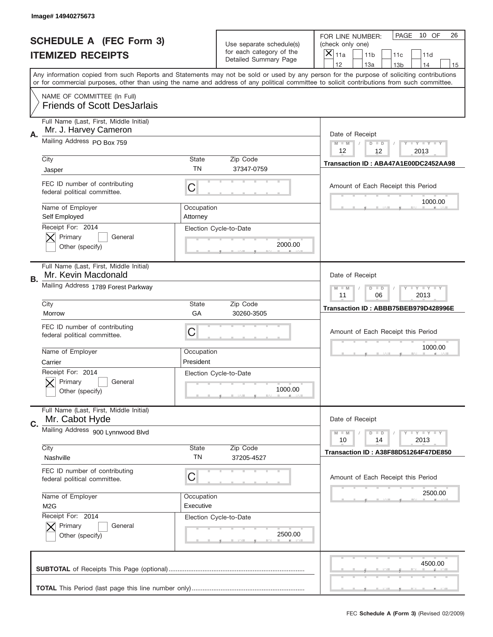|    | Image#14940275673                                                 |                         |                                                      |                                                                                                                                                                                                                                                                                         |
|----|-------------------------------------------------------------------|-------------------------|------------------------------------------------------|-----------------------------------------------------------------------------------------------------------------------------------------------------------------------------------------------------------------------------------------------------------------------------------------|
|    | <b>SCHEDULE A (FEC Form 3)</b>                                    |                         | Use separate schedule(s)<br>for each category of the | 10 OF<br>PAGE<br>26<br>FOR LINE NUMBER:<br>(check only one)                                                                                                                                                                                                                             |
|    | <b>ITEMIZED RECEIPTS</b>                                          |                         | Detailed Summary Page                                | ×<br>11a<br>11 <sub>b</sub><br>11c<br>11d<br>12<br>13a<br>13 <sub>b</sub><br>14<br>15                                                                                                                                                                                                   |
|    |                                                                   |                         |                                                      | Any information copied from such Reports and Statements may not be sold or used by any person for the purpose of soliciting contributions<br>or for commercial purposes, other than using the name and address of any political committee to solicit contributions from such committee. |
|    | NAME OF COMMITTEE (In Full)<br><b>Friends of Scott DesJarlais</b> |                         |                                                      |                                                                                                                                                                                                                                                                                         |
| Α. | Full Name (Last, First, Middle Initial)<br>Mr. J. Harvey Cameron  |                         |                                                      | Date of Receipt                                                                                                                                                                                                                                                                         |
|    | Mailing Address PO Box 759                                        |                         |                                                      | $M - M$<br>$-1$ $-1$ $-1$ $-1$ $-1$<br>$D$ $D$<br>12<br>12<br>2013                                                                                                                                                                                                                      |
|    | City<br>Jasper                                                    | State<br><b>TN</b>      | Zip Code<br>37347-0759                               | Transaction ID: ABA47A1E00DC2452AA98                                                                                                                                                                                                                                                    |
|    | FEC ID number of contributing<br>federal political committee.     | C                       |                                                      | Amount of Each Receipt this Period<br>1000.00                                                                                                                                                                                                                                           |
|    | Name of Employer<br>Self Employed<br>Receipt For: 2014            | Occupation<br>Attorney  |                                                      |                                                                                                                                                                                                                                                                                         |
|    | Primary<br>General<br>Other (specify)                             |                         | Election Cycle-to-Date<br>2000.00                    |                                                                                                                                                                                                                                                                                         |
| В. | Full Name (Last, First, Middle Initial)<br>Mr. Kevin Macdonald    |                         |                                                      | Date of Receipt                                                                                                                                                                                                                                                                         |
|    | Mailing Address 1789 Forest Parkway                               |                         |                                                      | <b>LY LY LY</b><br>$M - M$<br>$D$ $D$<br>11<br>06<br>2013                                                                                                                                                                                                                               |
|    | City<br>Morrow                                                    | State<br>GA             | Zip Code<br>30260-3505                               | Transaction ID: ABBB75BEB979D428996E                                                                                                                                                                                                                                                    |
|    | FEC ID number of contributing<br>federal political committee.     | C                       |                                                      | Amount of Each Receipt this Period                                                                                                                                                                                                                                                      |
|    | Name of Employer<br>Carrier                                       | Occupation<br>President |                                                      | 1000.00                                                                                                                                                                                                                                                                                 |
|    | Receipt For: 2014<br>General<br>Primary<br>Other (specify)        |                         | Election Cycle-to-Date<br>1000.00                    |                                                                                                                                                                                                                                                                                         |
| C. | Full Name (Last, First, Middle Initial)<br>Mr. Cabot Hyde         |                         |                                                      | Date of Receipt                                                                                                                                                                                                                                                                         |
|    | Mailing Address 900 Lynnwood Blvd                                 |                         |                                                      | $\mathbf{I}$ $\mathbf{Y}$ $\mathbf{I}$ $\mathbf{Y}$ $\mathbf{I}$ $\mathbf{Y}$<br>$M - M$<br>$D$ $D$<br>10<br>2013<br>14                                                                                                                                                                 |
|    | City<br>Nashville                                                 | <b>State</b><br>TN      | Zip Code<br>37205-4527                               | Transaction ID: A38F88D51264F47DE850                                                                                                                                                                                                                                                    |
|    | FEC ID number of contributing<br>federal political committee.     | C                       |                                                      | Amount of Each Receipt this Period                                                                                                                                                                                                                                                      |
|    | Name of Employer<br>M <sub>2</sub> G<br>Receipt For: 2014         | Occupation<br>Executive |                                                      | 2500.00                                                                                                                                                                                                                                                                                 |
|    | Primary<br>General<br>Other (specify)                             |                         | Election Cycle-to-Date<br>2500.00                    |                                                                                                                                                                                                                                                                                         |
|    |                                                                   |                         |                                                      | 4500.00                                                                                                                                                                                                                                                                                 |
|    |                                                                   |                         |                                                      |                                                                                                                                                                                                                                                                                         |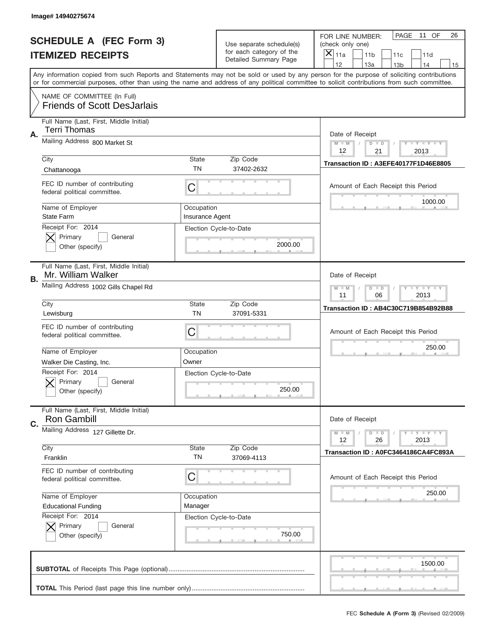|    | Image# 14940275674                                                |                               |                                                   |                                                                                                                                                                                                                                                                                                                                     |
|----|-------------------------------------------------------------------|-------------------------------|---------------------------------------------------|-------------------------------------------------------------------------------------------------------------------------------------------------------------------------------------------------------------------------------------------------------------------------------------------------------------------------------------|
|    | <b>SCHEDULE A (FEC Form 3)</b>                                    |                               | Use separate schedule(s)                          | PAGE<br>11 OF<br>26<br>FOR LINE NUMBER:<br>(check only one)                                                                                                                                                                                                                                                                         |
|    | <b>ITEMIZED RECEIPTS</b>                                          |                               | for each category of the<br>Detailed Summary Page | ×<br>11a<br>11 <sub>b</sub><br>11c<br>11d                                                                                                                                                                                                                                                                                           |
|    |                                                                   |                               |                                                   | 12<br>13a<br>14<br>13 <sub>b</sub><br>15<br>Any information copied from such Reports and Statements may not be sold or used by any person for the purpose of soliciting contributions<br>or for commercial purposes, other than using the name and address of any political committee to solicit contributions from such committee. |
|    | NAME OF COMMITTEE (In Full)<br><b>Friends of Scott DesJarlais</b> |                               |                                                   |                                                                                                                                                                                                                                                                                                                                     |
| Α. | Full Name (Last, First, Middle Initial)<br>Terri Thomas           |                               |                                                   | Date of Receipt                                                                                                                                                                                                                                                                                                                     |
|    | Mailing Address 800 Market St                                     |                               |                                                   | $M - M$<br>$\mathbf{I}$ $\mathbf{Y}$ $\mathbf{I}$ $\mathbf{Y}$ $\mathbf{I}$ $\mathbf{Y}$<br>$D$ $D$<br>12<br>21<br>2013                                                                                                                                                                                                             |
|    | City<br>Chattanooga                                               | State<br>TN                   | Zip Code<br>37402-2632                            | Transaction ID: A3EFE40177F1D46E8805                                                                                                                                                                                                                                                                                                |
|    | FEC ID number of contributing<br>federal political committee.     | C                             |                                                   | Amount of Each Receipt this Period<br>1000.00                                                                                                                                                                                                                                                                                       |
|    | Name of Employer<br><b>State Farm</b><br>Receipt For: 2014        | Occupation<br>Insurance Agent |                                                   |                                                                                                                                                                                                                                                                                                                                     |
|    | Primary<br>General<br>Other (specify)                             |                               | Election Cycle-to-Date<br>2000.00                 |                                                                                                                                                                                                                                                                                                                                     |
| В. | Full Name (Last, First, Middle Initial)<br>Mr. William Walker     |                               |                                                   | Date of Receipt                                                                                                                                                                                                                                                                                                                     |
|    | Mailing Address 1002 Gills Chapel Rd                              |                               |                                                   | $M$ M<br>$\mathbf{I}$ $\mathbf{Y}$ $\mathbf{I}$ $\mathbf{Y}$ $\mathbf{I}$ $\mathbf{Y}$<br>$D$ $D$<br>11<br>06<br>2013                                                                                                                                                                                                               |
|    | City<br>Lewisburg                                                 | State<br><b>TN</b>            | Zip Code<br>37091-5331                            | Transaction ID: AB4C30C719B854B92B88                                                                                                                                                                                                                                                                                                |
|    | FEC ID number of contributing<br>federal political committee.     | C                             |                                                   | Amount of Each Receipt this Period                                                                                                                                                                                                                                                                                                  |
|    | Name of Employer<br>Walker Die Casting, Inc.                      | Occupation<br>Owner           |                                                   | 250.00                                                                                                                                                                                                                                                                                                                              |
|    | Receipt For: 2014<br>General<br>Primary<br>Other (specify)        |                               | Election Cycle-to-Date<br>250.00                  |                                                                                                                                                                                                                                                                                                                                     |
| C. | Full Name (Last, First, Middle Initial)<br><b>Ron Gambill</b>     |                               |                                                   | Date of Receipt                                                                                                                                                                                                                                                                                                                     |
|    | Mailing Address 127 Gillette Dr.                                  |                               |                                                   | $\mathbf{I}$ $\mathbf{Y}$ $\mathbf{I}$ $\mathbf{Y}$ $\mathbf{I}$ $\mathbf{Y}$<br>$M - M$<br>$D$ $D$<br>12<br>2013<br>26                                                                                                                                                                                                             |
|    | City<br>Franklin                                                  | <b>State</b><br>TN            | Zip Code<br>37069-4113                            | Transaction ID: A0FC3464186CA4FC893A                                                                                                                                                                                                                                                                                                |
|    | FEC ID number of contributing<br>federal political committee.     | C                             |                                                   | Amount of Each Receipt this Period                                                                                                                                                                                                                                                                                                  |
|    | Name of Employer<br><b>Educational Funding</b>                    | Occupation<br>Manager         |                                                   | 250.00                                                                                                                                                                                                                                                                                                                              |
|    | Receipt For: 2014<br>Primary<br>General<br>Other (specify)        |                               | Election Cycle-to-Date<br>750.00                  |                                                                                                                                                                                                                                                                                                                                     |
|    |                                                                   |                               |                                                   | 1500.00                                                                                                                                                                                                                                                                                                                             |
|    |                                                                   |                               |                                                   |                                                                                                                                                                                                                                                                                                                                     |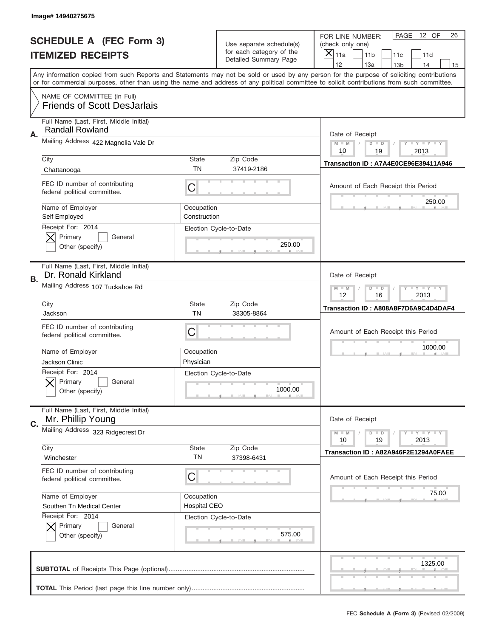|    | Image# 14940275675                                                |                            |                                                      |                                                                                                                                                                                                                                                                                         |
|----|-------------------------------------------------------------------|----------------------------|------------------------------------------------------|-----------------------------------------------------------------------------------------------------------------------------------------------------------------------------------------------------------------------------------------------------------------------------------------|
|    | <b>SCHEDULE A (FEC Form 3)</b>                                    |                            |                                                      | PAGE<br>12 OF<br>26<br>FOR LINE NUMBER:                                                                                                                                                                                                                                                 |
|    |                                                                   |                            | Use separate schedule(s)<br>for each category of the | (check only one)                                                                                                                                                                                                                                                                        |
|    | <b>ITEMIZED RECEIPTS</b>                                          |                            | Detailed Summary Page                                | $\overline{\mathsf{x}}$<br>11a<br>11 <sub>b</sub><br>11c<br>11d                                                                                                                                                                                                                         |
|    |                                                                   |                            |                                                      | 12<br>13a<br>14<br>13 <sub>b</sub><br>15                                                                                                                                                                                                                                                |
|    |                                                                   |                            |                                                      | Any information copied from such Reports and Statements may not be sold or used by any person for the purpose of soliciting contributions<br>or for commercial purposes, other than using the name and address of any political committee to solicit contributions from such committee. |
|    | NAME OF COMMITTEE (In Full)<br><b>Friends of Scott DesJarlais</b> |                            |                                                      |                                                                                                                                                                                                                                                                                         |
|    | Full Name (Last, First, Middle Initial)<br><b>Randall Rowland</b> |                            |                                                      |                                                                                                                                                                                                                                                                                         |
| Α. | Mailing Address 422 Magnolia Vale Dr                              |                            |                                                      | Date of Receipt<br><b>LYLYLYLY</b><br>$M - M$<br>$D$ $D$                                                                                                                                                                                                                                |
|    | City                                                              | State                      | Zip Code                                             | 10<br>19<br>2013                                                                                                                                                                                                                                                                        |
|    | Chattanooga                                                       | <b>TN</b>                  | 37419-2186                                           | Transaction ID: A7A4E0CE96E39411A946                                                                                                                                                                                                                                                    |
|    | FEC ID number of contributing<br>federal political committee.     | C                          |                                                      | Amount of Each Receipt this Period                                                                                                                                                                                                                                                      |
|    | Name of Employer<br>Self Employed                                 | Occupation<br>Construction |                                                      | 250.00                                                                                                                                                                                                                                                                                  |
|    | Receipt For: 2014<br>Primary<br>General<br>Other (specify)        |                            | Election Cycle-to-Date<br>250.00                     |                                                                                                                                                                                                                                                                                         |
| В. | Full Name (Last, First, Middle Initial)<br>Dr. Ronald Kirkland    |                            |                                                      | Date of Receipt                                                                                                                                                                                                                                                                         |
|    | Mailing Address 107 Tuckahoe Rd                                   |                            |                                                      | <b>LY LY LY</b><br>$M - M$<br>$D$ $D$<br>12<br>16<br>2013                                                                                                                                                                                                                               |
|    | City<br>Jackson                                                   | <b>State</b><br><b>TN</b>  | Zip Code<br>38305-8864                               | Transaction ID: A808A8F7D6A9C4D4DAF4                                                                                                                                                                                                                                                    |
|    | FEC ID number of contributing<br>federal political committee.     | C                          |                                                      | Amount of Each Receipt this Period                                                                                                                                                                                                                                                      |
|    | Name of Employer                                                  | Occupation                 |                                                      | 1000.00                                                                                                                                                                                                                                                                                 |
|    | Jackson Clinic                                                    | Physician                  |                                                      |                                                                                                                                                                                                                                                                                         |
|    | Receipt For: 2014<br>General<br>Primary<br>Other (specify)        |                            | Election Cycle-to-Date<br>1000.00                    |                                                                                                                                                                                                                                                                                         |
| C. | Full Name (Last, First, Middle Initial)<br>Mr. Phillip Young      |                            |                                                      | Date of Receipt                                                                                                                                                                                                                                                                         |
|    | Mailing Address 323 Ridgecrest Dr                                 |                            |                                                      | <b>LYLYLY</b><br>$M - M$<br>$D$ $D$<br>19<br>2013<br>10                                                                                                                                                                                                                                 |
|    | City<br>Winchester                                                | State<br>TN                | Zip Code<br>37398-6431                               | Transaction ID: A82A946F2E1294A0FAEE                                                                                                                                                                                                                                                    |
|    | FEC ID number of contributing<br>federal political committee.     | C                          |                                                      | Amount of Each Receipt this Period                                                                                                                                                                                                                                                      |
|    | Name of Employer                                                  | Occupation                 |                                                      | 75.00                                                                                                                                                                                                                                                                                   |
|    | Southen Tn Medical Center                                         | <b>Hospital CEO</b>        |                                                      |                                                                                                                                                                                                                                                                                         |
|    | Receipt For: 2014<br>Primary<br>General<br>Other (specify)        |                            | Election Cycle-to-Date<br>575.00                     |                                                                                                                                                                                                                                                                                         |
|    |                                                                   |                            |                                                      | 1325.00                                                                                                                                                                                                                                                                                 |
|    |                                                                   |                            |                                                      |                                                                                                                                                                                                                                                                                         |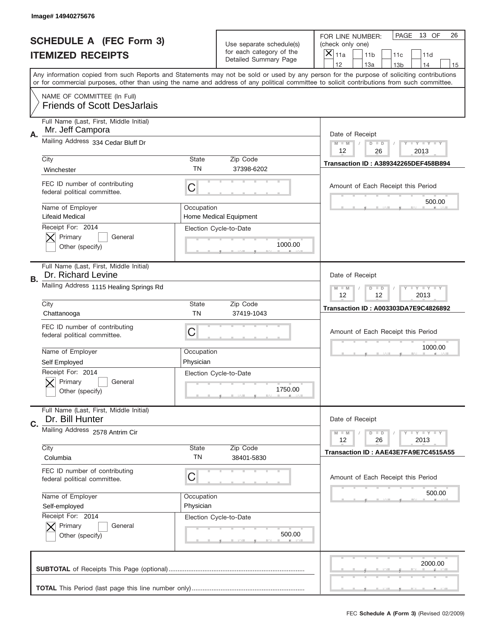|                          | Image# 14940275676                                                |                         |                                                      |                                                                                                                                                                                                                                                                                                                                     |
|--------------------------|-------------------------------------------------------------------|-------------------------|------------------------------------------------------|-------------------------------------------------------------------------------------------------------------------------------------------------------------------------------------------------------------------------------------------------------------------------------------------------------------------------------------|
|                          | <b>SCHEDULE A (FEC Form 3)</b>                                    |                         | Use separate schedule(s)<br>for each category of the | PAGE<br>13 OF<br>26<br>FOR LINE NUMBER:<br>(check only one)                                                                                                                                                                                                                                                                         |
| <b>ITEMIZED RECEIPTS</b> |                                                                   |                         | Detailed Summary Page                                | ×<br>11a<br>11 <sub>b</sub><br>11c<br>11d                                                                                                                                                                                                                                                                                           |
|                          |                                                                   |                         |                                                      | 12<br>13a<br>14<br>13 <sub>b</sub><br>15<br>Any information copied from such Reports and Statements may not be sold or used by any person for the purpose of soliciting contributions<br>or for commercial purposes, other than using the name and address of any political committee to solicit contributions from such committee. |
|                          | NAME OF COMMITTEE (In Full)<br><b>Friends of Scott DesJarlais</b> |                         |                                                      |                                                                                                                                                                                                                                                                                                                                     |
| Α.                       | Full Name (Last, First, Middle Initial)<br>Mr. Jeff Campora       |                         |                                                      | Date of Receipt                                                                                                                                                                                                                                                                                                                     |
|                          | Mailing Address 334 Cedar Bluff Dr                                |                         |                                                      | $M - M$<br>$\mathbf{I}$ $\mathbf{Y}$ $\mathbf{I}$ $\mathbf{Y}$ $\mathbf{I}$ $\mathbf{Y}$<br>$D$ $D$<br>12<br>26<br>2013                                                                                                                                                                                                             |
|                          | City<br>Winchester                                                | State<br>TN             | Zip Code<br>37398-6202                               | Transaction ID: A389342265DEF458B894                                                                                                                                                                                                                                                                                                |
|                          | FEC ID number of contributing<br>federal political committee.     | C                       |                                                      | Amount of Each Receipt this Period<br>500.00                                                                                                                                                                                                                                                                                        |
|                          | Name of Employer<br>Lifeaid Medical<br>Receipt For: 2014          | Occupation              | Home Medical Equipment                               |                                                                                                                                                                                                                                                                                                                                     |
|                          | Primary<br>General<br>Other (specify)                             |                         | Election Cycle-to-Date<br>1000.00                    |                                                                                                                                                                                                                                                                                                                                     |
| В.                       | Full Name (Last, First, Middle Initial)<br>Dr. Richard Levine     |                         |                                                      | Date of Receipt                                                                                                                                                                                                                                                                                                                     |
|                          | Mailing Address 1115 Healing Springs Rd                           |                         |                                                      | $M$ M<br>$D$ $D$<br>$\mathbf{I}$ $\mathbf{Y}$ $\mathbf{I}$ $\mathbf{Y}$ $\mathbf{I}$ $\mathbf{Y}$<br>12<br>12<br>2013                                                                                                                                                                                                               |
|                          | City<br>Chattanooga                                               | State<br><b>TN</b>      | Zip Code<br>37419-1043                               | <b>Transaction ID: A003303DA7E9C4826892</b>                                                                                                                                                                                                                                                                                         |
|                          | FEC ID number of contributing<br>federal political committee.     | C                       |                                                      | Amount of Each Receipt this Period                                                                                                                                                                                                                                                                                                  |
|                          | Name of Employer<br>Self Employed                                 | Occupation<br>Physician |                                                      | 1000.00                                                                                                                                                                                                                                                                                                                             |
|                          | Receipt For: 2014<br>General<br>Primary<br>Other (specify)        |                         | Election Cycle-to-Date<br>1750.00                    |                                                                                                                                                                                                                                                                                                                                     |
| C.                       | Full Name (Last, First, Middle Initial)<br>Dr. Bill Hunter        |                         |                                                      | Date of Receipt                                                                                                                                                                                                                                                                                                                     |
|                          | Mailing Address 2578 Antrim Cir                                   |                         |                                                      | $\mathbf{I}$ $\mathbf{Y}$ $\mathbf{I}$ $\mathbf{Y}$ $\mathbf{I}$ $\mathbf{Y}$<br>$M - M$<br>$D$ $D$<br>12<br>2013<br>26                                                                                                                                                                                                             |
|                          | City<br>Columbia                                                  | <b>State</b><br>TN      | Zip Code<br>38401-5830                               | Transaction ID: AAE43E7FA9E7C4515A55                                                                                                                                                                                                                                                                                                |
|                          | FEC ID number of contributing<br>federal political committee.     | C                       |                                                      | Amount of Each Receipt this Period                                                                                                                                                                                                                                                                                                  |
|                          | Name of Employer<br>Self-employed                                 | Occupation<br>Physician |                                                      | 500.00                                                                                                                                                                                                                                                                                                                              |
|                          | Receipt For: 2014<br>Primary<br>General<br>Other (specify)        |                         | Election Cycle-to-Date<br>500.00                     |                                                                                                                                                                                                                                                                                                                                     |
|                          |                                                                   |                         |                                                      | 2000.00                                                                                                                                                                                                                                                                                                                             |
|                          |                                                                   |                         |                                                      |                                                                                                                                                                                                                                                                                                                                     |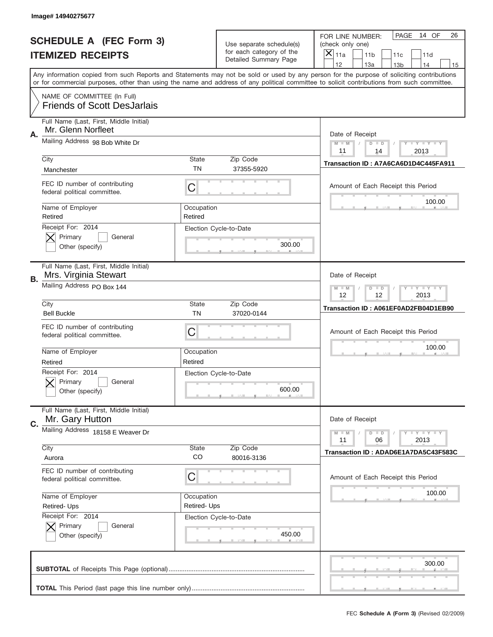|                          | Image# 14940275677                                                |                           |                                                   |                                                                                                                                                                                                                                                                                                                                     |
|--------------------------|-------------------------------------------------------------------|---------------------------|---------------------------------------------------|-------------------------------------------------------------------------------------------------------------------------------------------------------------------------------------------------------------------------------------------------------------------------------------------------------------------------------------|
|                          | <b>SCHEDULE A (FEC Form 3)</b>                                    |                           | Use separate schedule(s)                          | PAGE<br>14 OF<br>26<br>FOR LINE NUMBER:<br>(check only one)                                                                                                                                                                                                                                                                         |
| <b>ITEMIZED RECEIPTS</b> |                                                                   |                           | for each category of the<br>Detailed Summary Page | $\boldsymbol{\times}$<br>11a<br>11 <sub>b</sub><br>11c<br>11d                                                                                                                                                                                                                                                                       |
|                          |                                                                   |                           |                                                   | 12<br>13a<br>14<br>13 <sub>b</sub><br>15<br>Any information copied from such Reports and Statements may not be sold or used by any person for the purpose of soliciting contributions<br>or for commercial purposes, other than using the name and address of any political committee to solicit contributions from such committee. |
|                          | NAME OF COMMITTEE (In Full)<br><b>Friends of Scott DesJarlais</b> |                           |                                                   |                                                                                                                                                                                                                                                                                                                                     |
| Α.                       | Full Name (Last, First, Middle Initial)<br>Mr. Glenn Norfleet     | Date of Receipt           |                                                   |                                                                                                                                                                                                                                                                                                                                     |
|                          | Mailing Address 98 Bob White Dr                                   |                           |                                                   | <b>LY LY LY</b><br>$M - M$<br>$D$ $D$<br>11<br>2013<br>14                                                                                                                                                                                                                                                                           |
|                          | City<br>Manchester                                                | State<br><b>TN</b>        | Zip Code<br>37355-5920                            | Transaction ID: A7A6CA6D1D4C445FA911                                                                                                                                                                                                                                                                                                |
|                          | FEC ID number of contributing<br>federal political committee.     | C                         |                                                   | Amount of Each Receipt this Period<br>100.00                                                                                                                                                                                                                                                                                        |
|                          | Name of Employer<br>Retired                                       | Occupation<br>Retired     |                                                   |                                                                                                                                                                                                                                                                                                                                     |
|                          | Receipt For: 2014<br>Primary<br>General<br>Other (specify)        |                           | Election Cycle-to-Date<br>300.00                  |                                                                                                                                                                                                                                                                                                                                     |
| <b>B.</b>                | Full Name (Last, First, Middle Initial)<br>Mrs. Virginia Stewart  |                           |                                                   | Date of Receipt                                                                                                                                                                                                                                                                                                                     |
|                          | Mailing Address PO Box 144                                        |                           |                                                   | <b>LY LY LY</b><br>$M - M$<br>$D$ $D$<br>12<br>12<br>2013                                                                                                                                                                                                                                                                           |
|                          | City<br><b>Bell Buckle</b>                                        | <b>State</b><br><b>TN</b> | Zip Code<br>37020-0144                            | Transaction ID: A061EF0AD2FB04D1EB90                                                                                                                                                                                                                                                                                                |
|                          | FEC ID number of contributing<br>federal political committee.     | C                         |                                                   | Amount of Each Receipt this Period                                                                                                                                                                                                                                                                                                  |
|                          | Name of Employer<br>Retired                                       | Occupation<br>Retired     |                                                   | 100.00                                                                                                                                                                                                                                                                                                                              |
|                          | Receipt For: 2014<br>General<br>Primary<br>Other (specify)        |                           | Election Cycle-to-Date<br>600.00                  |                                                                                                                                                                                                                                                                                                                                     |
| C.                       | Full Name (Last, First, Middle Initial)<br>Mr. Gary Hutton        |                           |                                                   | Date of Receipt                                                                                                                                                                                                                                                                                                                     |
|                          | Mailing Address 18158 E Weaver Dr                                 |                           |                                                   | <b>LYLYLY</b><br>$M - M$<br>$D$ $D$<br>06<br>2013<br>11                                                                                                                                                                                                                                                                             |
|                          | City<br>Aurora                                                    | <b>State</b><br>CO        | Zip Code<br>80016-3136                            | Transaction ID: ADAD6E1A7DA5C43F583C                                                                                                                                                                                                                                                                                                |
|                          | FEC ID number of contributing<br>federal political committee.     | С                         |                                                   | Amount of Each Receipt this Period                                                                                                                                                                                                                                                                                                  |
|                          | Name of Employer<br>Retired-Ups                                   | Occupation<br>Retired-Ups |                                                   | 100.00                                                                                                                                                                                                                                                                                                                              |
|                          | Receipt For: 2014<br>Primary<br>General<br>Other (specify)        |                           | Election Cycle-to-Date<br>450.00                  |                                                                                                                                                                                                                                                                                                                                     |
|                          |                                                                   |                           |                                                   | 300.00                                                                                                                                                                                                                                                                                                                              |
|                          |                                                                   |                           |                                                   |                                                                                                                                                                                                                                                                                                                                     |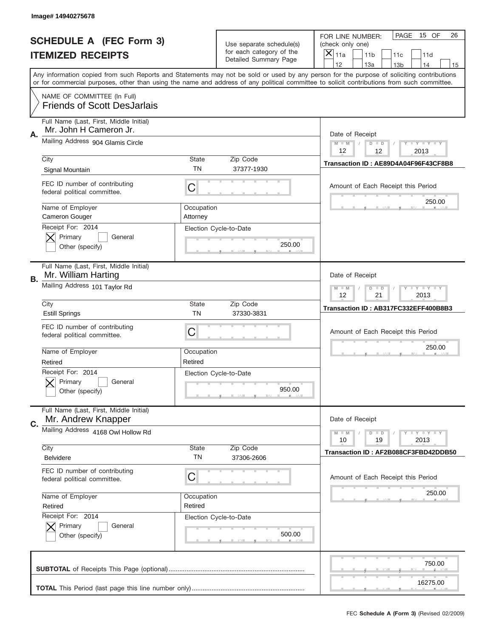|                          | Image# 14940275678                                                |                        |                                                   |                                                                                                                                                                                                                                                                                                                                     |
|--------------------------|-------------------------------------------------------------------|------------------------|---------------------------------------------------|-------------------------------------------------------------------------------------------------------------------------------------------------------------------------------------------------------------------------------------------------------------------------------------------------------------------------------------|
|                          | <b>SCHEDULE A (FEC Form 3)</b>                                    |                        | Use separate schedule(s)                          | PAGE<br>15 OF<br>26<br>FOR LINE NUMBER:<br>(check only one)                                                                                                                                                                                                                                                                         |
| <b>ITEMIZED RECEIPTS</b> |                                                                   |                        | for each category of the<br>Detailed Summary Page | ×<br>11a<br>11 <sub>b</sub><br>11c<br>11d                                                                                                                                                                                                                                                                                           |
|                          |                                                                   |                        |                                                   | 12<br>13a<br>14<br>13 <sub>b</sub><br>15<br>Any information copied from such Reports and Statements may not be sold or used by any person for the purpose of soliciting contributions<br>or for commercial purposes, other than using the name and address of any political committee to solicit contributions from such committee. |
|                          | NAME OF COMMITTEE (In Full)<br><b>Friends of Scott DesJarlais</b> |                        |                                                   |                                                                                                                                                                                                                                                                                                                                     |
| Α.                       | Full Name (Last, First, Middle Initial)<br>Mr. John H Cameron Jr. |                        |                                                   | Date of Receipt                                                                                                                                                                                                                                                                                                                     |
|                          | Mailing Address 904 Glamis Circle                                 |                        |                                                   | $M - M$<br>$\mathbf{I}$ $\mathbf{Y}$ $\mathbf{I}$ $\mathbf{Y}$ $\mathbf{I}$ $\mathbf{Y}$<br>$D$ $D$<br>12<br>12<br>2013                                                                                                                                                                                                             |
|                          | City<br>Signal Mountain                                           | State<br><b>TN</b>     | Zip Code<br>37377-1930                            | Transaction ID: AE89D4A04F96F43CF8B8                                                                                                                                                                                                                                                                                                |
|                          | FEC ID number of contributing<br>federal political committee.     | C                      |                                                   | Amount of Each Receipt this Period<br>250.00                                                                                                                                                                                                                                                                                        |
|                          | Name of Employer<br><b>Cameron Gouger</b>                         | Occupation<br>Attorney |                                                   |                                                                                                                                                                                                                                                                                                                                     |
|                          | Receipt For: 2014<br>Primary<br>General<br>Other (specify)        |                        | Election Cycle-to-Date<br>250.00                  |                                                                                                                                                                                                                                                                                                                                     |
| В.                       | Full Name (Last, First, Middle Initial)<br>Mr. William Harting    |                        |                                                   | Date of Receipt                                                                                                                                                                                                                                                                                                                     |
|                          | Mailing Address 101 Taylor Rd                                     |                        |                                                   | $M$ M<br>$\mathbf{I}$ $\mathbf{Y}$ $\mathbf{I}$ $\mathbf{Y}$ $\mathbf{I}$ $\mathbf{Y}$<br>$D$ $D$<br>12<br>21<br>2013                                                                                                                                                                                                               |
|                          | City<br><b>Estill Springs</b>                                     | State<br><b>TN</b>     | Zip Code<br>37330-3831                            | Transaction ID: AB317FC332EFF400B8B3                                                                                                                                                                                                                                                                                                |
|                          | FEC ID number of contributing<br>federal political committee.     | C                      |                                                   | Amount of Each Receipt this Period                                                                                                                                                                                                                                                                                                  |
|                          | Name of Employer<br>Retired                                       | Occupation<br>Retired  |                                                   | 250.00                                                                                                                                                                                                                                                                                                                              |
|                          | Receipt For: 2014<br>General<br>Primary<br>Other (specify)        |                        | Election Cycle-to-Date<br>950.00                  |                                                                                                                                                                                                                                                                                                                                     |
| C.                       | Full Name (Last, First, Middle Initial)<br>Mr. Andrew Knapper     |                        |                                                   | Date of Receipt                                                                                                                                                                                                                                                                                                                     |
|                          | Mailing Address 4168 Owl Hollow Rd                                |                        |                                                   | $I - Y - I - Y - I - Y$<br>$M - M$<br>$D$ $D$<br>2013<br>10<br>19                                                                                                                                                                                                                                                                   |
|                          | City<br><b>Belvidere</b>                                          | <b>State</b><br>TN     | Zip Code<br>37306-2606                            | Transaction ID: AF2B088CF3FBD42DDB50                                                                                                                                                                                                                                                                                                |
|                          | FEC ID number of contributing<br>federal political committee.     | C                      |                                                   | Amount of Each Receipt this Period                                                                                                                                                                                                                                                                                                  |
|                          | Name of Employer<br>Retired                                       | Occupation<br>Retired  |                                                   | 250.00                                                                                                                                                                                                                                                                                                                              |
|                          | Receipt For: 2014<br>Primary<br>General<br>Other (specify)        |                        | Election Cycle-to-Date<br>500.00                  |                                                                                                                                                                                                                                                                                                                                     |
|                          |                                                                   |                        |                                                   | 750.00                                                                                                                                                                                                                                                                                                                              |
|                          |                                                                   |                        |                                                   | 16275.00                                                                                                                                                                                                                                                                                                                            |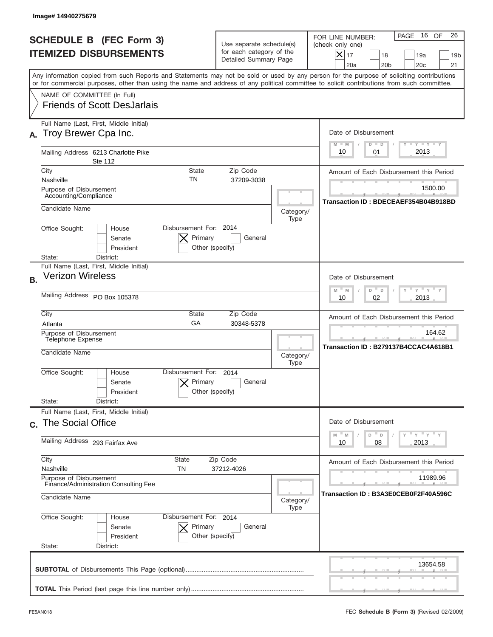|           | Image#14940275679                                                                                                                                                                                                                                                                                                      |                                                                               |                                                                                                |                                                                                                                                                             |
|-----------|------------------------------------------------------------------------------------------------------------------------------------------------------------------------------------------------------------------------------------------------------------------------------------------------------------------------|-------------------------------------------------------------------------------|------------------------------------------------------------------------------------------------|-------------------------------------------------------------------------------------------------------------------------------------------------------------|
|           | <b>SCHEDULE B (FEC Form 3)</b><br><b>ITEMIZED DISBURSEMENTS</b>                                                                                                                                                                                                                                                        | Use separate schedule(s)<br>for each category of the<br>Detailed Summary Page |                                                                                                | 16 OF<br>26<br>PAGE<br>FOR LINE NUMBER:<br>(check only one)<br>$X _{17}$<br>18<br>19a<br>19 <sub>b</sub><br>20a<br>20 <sub>b</sub><br>20 <sub>c</sub><br>21 |
|           | Any information copied from such Reports and Statements may not be sold or used by any person for the purpose of soliciting contributions<br>or for commercial purposes, other than using the name and address of any political committee to solicit contributions from such committee.<br>NAME OF COMMITTEE (In Full) |                                                                               |                                                                                                |                                                                                                                                                             |
|           | <b>Friends of Scott DesJarlais</b>                                                                                                                                                                                                                                                                                     |                                                                               |                                                                                                |                                                                                                                                                             |
| А.        | Full Name (Last, First, Middle Initial)<br>Troy Brewer Cpa Inc.                                                                                                                                                                                                                                                        |                                                                               |                                                                                                | Date of Disbursement<br>Y I Y I Y I Y<br>$M - M$<br>$D$ $D$                                                                                                 |
|           | Mailing Address 6213 Charlotte Pike<br>Ste 112                                                                                                                                                                                                                                                                         |                                                                               |                                                                                                | 2013<br>10<br>01                                                                                                                                            |
|           | City<br>State<br>TN<br>Nashville                                                                                                                                                                                                                                                                                       | Zip Code<br>37209-3038                                                        |                                                                                                | Amount of Each Disbursement this Period                                                                                                                     |
|           | Purpose of Disbursement<br>Accounting/Compliance                                                                                                                                                                                                                                                                       |                                                                               |                                                                                                | 1500.00<br>Transaction ID: BDECEAEF354B04B918BD                                                                                                             |
|           | Candidate Name                                                                                                                                                                                                                                                                                                         |                                                                               | Category/<br>Type                                                                              |                                                                                                                                                             |
|           | Disbursement For: 2014<br>Office Sought:<br>House<br>Primary<br>Senate<br>President<br>Other (specify)<br>District:<br>State:                                                                                                                                                                                          | General                                                                       |                                                                                                |                                                                                                                                                             |
| <b>B.</b> | Full Name (Last, First, Middle Initial)<br><b>Verizon Wireless</b>                                                                                                                                                                                                                                                     |                                                                               |                                                                                                | Date of Disbursement                                                                                                                                        |
|           | Mailing Address PO Box 105378                                                                                                                                                                                                                                                                                          |                                                                               | $\cdots$ $\gamma$ $\cdots$ $\gamma$ $\cdots$ $\gamma$<br>$M - M$<br>D<br>D<br>2013<br>10<br>02 |                                                                                                                                                             |
|           | City<br>State<br>GA<br>Atlanta                                                                                                                                                                                                                                                                                         | Zip Code<br>30348-5378                                                        |                                                                                                | Amount of Each Disbursement this Period                                                                                                                     |
|           | Purpose of Disbursement<br>Telephone Expense<br>Candidate Name                                                                                                                                                                                                                                                         |                                                                               | Category/<br>Type                                                                              | 164.62<br>Transaction ID: B279137B4CCAC4A618B1                                                                                                              |
|           | Disbursement For:<br>Office Sought:<br>House<br>Primary<br>Senate<br>Other (specify)<br>President<br>State:<br>District:                                                                                                                                                                                               | 2014<br>General                                                               |                                                                                                |                                                                                                                                                             |
|           | Full Name (Last, First, Middle Initial)<br>c. The Social Office                                                                                                                                                                                                                                                        |                                                                               |                                                                                                | Date of Disbursement                                                                                                                                        |
|           | Mailing Address 293 Fairfax Ave                                                                                                                                                                                                                                                                                        |                                                                               |                                                                                                | $\overline{Y}$ $\overline{Y}$ $\overline{Y}$ $\overline{Y}$ $\overline{Y}$<br>D<br>M<br>M<br>D<br>2013<br>10<br>08                                          |
|           | City<br>State<br>Zip Code<br>Nashville<br>TN<br>37212-4026                                                                                                                                                                                                                                                             |                                                                               |                                                                                                | Amount of Each Disbursement this Period<br>11989.96                                                                                                         |
|           | Purpose of Disbursement<br>Finance/Administration Consulting Fee<br>Candidate Name                                                                                                                                                                                                                                     |                                                                               |                                                                                                | Transaction ID: B3A3E0CEB0F2F40A596C                                                                                                                        |
|           | Office Sought:<br>Disbursement For: 2014<br>House<br>Senate<br>Primary<br>President<br>Other (specify)<br>State:<br>District:                                                                                                                                                                                          | General                                                                       | Type                                                                                           |                                                                                                                                                             |
|           |                                                                                                                                                                                                                                                                                                                        |                                                                               |                                                                                                | 13654.58                                                                                                                                                    |
|           |                                                                                                                                                                                                                                                                                                                        |                                                                               |                                                                                                |                                                                                                                                                             |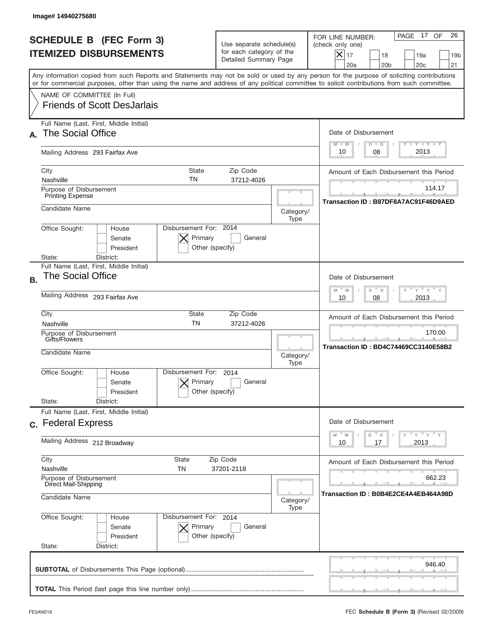|           | Image#14940275680                                                                                                                                                                                                                                                                       |                                                                               |                   |                                                                                                                                                             |
|-----------|-----------------------------------------------------------------------------------------------------------------------------------------------------------------------------------------------------------------------------------------------------------------------------------------|-------------------------------------------------------------------------------|-------------------|-------------------------------------------------------------------------------------------------------------------------------------------------------------|
|           | <b>SCHEDULE B (FEC Form 3)</b><br><b>ITEMIZED DISBURSEMENTS</b>                                                                                                                                                                                                                         | Use separate schedule(s)<br>for each category of the<br>Detailed Summary Page |                   | 26<br>PAGE 17<br>OF<br>FOR LINE NUMBER:<br>(check only one)<br>$X _{17}$<br>18<br>19a<br>19 <sub>b</sub><br>20 <sub>c</sub><br>20a<br>20 <sub>b</sub><br>21 |
|           | Any information copied from such Reports and Statements may not be sold or used by any person for the purpose of soliciting contributions<br>or for commercial purposes, other than using the name and address of any political committee to solicit contributions from such committee. |                                                                               |                   |                                                                                                                                                             |
|           | NAME OF COMMITTEE (In Full)<br><b>Friends of Scott DesJarlais</b>                                                                                                                                                                                                                       |                                                                               |                   |                                                                                                                                                             |
| А.        | Full Name (Last, First, Middle Initial)<br><b>The Social Office</b>                                                                                                                                                                                                                     |                                                                               |                   | Date of Disbursement<br>$T - Y$ $T - Y$<br>$M - M$<br>$D$ $D$                                                                                               |
|           | Mailing Address 293 Fairfax Ave                                                                                                                                                                                                                                                         |                                                                               |                   | 2013<br>08<br>10                                                                                                                                            |
|           | City<br>State<br>TN<br>Nashville                                                                                                                                                                                                                                                        | Zip Code<br>37212-4026                                                        |                   | Amount of Each Disbursement this Period                                                                                                                     |
|           | Purpose of Disbursement<br><b>Printing Expense</b>                                                                                                                                                                                                                                      |                                                                               |                   | 114.17<br>Transaction ID: B87DF8A7AC91F46D9AED                                                                                                              |
|           | Candidate Name                                                                                                                                                                                                                                                                          |                                                                               | Category/<br>Type |                                                                                                                                                             |
|           | Disbursement For: 2014<br>Office Sought:<br>House<br>Primary<br>Senate<br>President<br>Other (specify)<br>State:<br>District:                                                                                                                                                           | General                                                                       |                   |                                                                                                                                                             |
| <b>B.</b> | Full Name (Last, First, Middle Initial)<br><b>The Social Office</b>                                                                                                                                                                                                                     |                                                                               |                   | Date of Disbursement<br>≡ γ ≡ γ ≡                                                                                                                           |
|           | Mailing Address 293 Fairfax Ave                                                                                                                                                                                                                                                         | $M - M$<br>D<br>D<br>2013<br>10<br>08                                         |                   |                                                                                                                                                             |
|           | City<br>State<br><b>TN</b><br>Nashville                                                                                                                                                                                                                                                 | Zip Code<br>37212-4026                                                        |                   | Amount of Each Disbursement this Period                                                                                                                     |
|           | Purpose of Disbursement<br>Gifts/Flowers<br>Candidate Name                                                                                                                                                                                                                              |                                                                               | Category/<br>Type | 170.00<br>Transaction ID: BD4C74469CC3140E58B2                                                                                                              |
|           | Disbursement For:<br>Office Sought:<br>House<br>Primary<br>Senate<br>Other (specify)<br>President                                                                                                                                                                                       | 2014<br>General                                                               |                   |                                                                                                                                                             |
|           | State:<br>District:<br>Full Name (Last, First, Middle Initial)                                                                                                                                                                                                                          |                                                                               |                   |                                                                                                                                                             |
|           | c. Federal Express                                                                                                                                                                                                                                                                      |                                                                               |                   | Date of Disbursement<br>≡ γ ≡ γ ≡ γ                                                                                                                         |
|           | Mailing Address 212 Broadway                                                                                                                                                                                                                                                            |                                                                               |                   | M<br>D<br>M<br>D<br>17<br>2013<br>10                                                                                                                        |
|           | City<br><b>State</b><br>Nashville<br>TN                                                                                                                                                                                                                                                 | Zip Code<br>37201-2118                                                        |                   | Amount of Each Disbursement this Period                                                                                                                     |
|           | Purpose of Disbursement<br>Direct Mail-Shipping<br>Candidate Name                                                                                                                                                                                                                       |                                                                               |                   | 662.23<br>Transaction ID : B0B4E2CE4A4EB464A98D                                                                                                             |
|           | Office Sought:<br>Disbursement For: 2014<br>House<br>Senate<br>Primary<br>President<br>Other (specify)<br>State:<br>District:                                                                                                                                                           | General                                                                       | Type              |                                                                                                                                                             |
|           |                                                                                                                                                                                                                                                                                         |                                                                               |                   | 946.40                                                                                                                                                      |
|           |                                                                                                                                                                                                                                                                                         |                                                                               |                   |                                                                                                                                                             |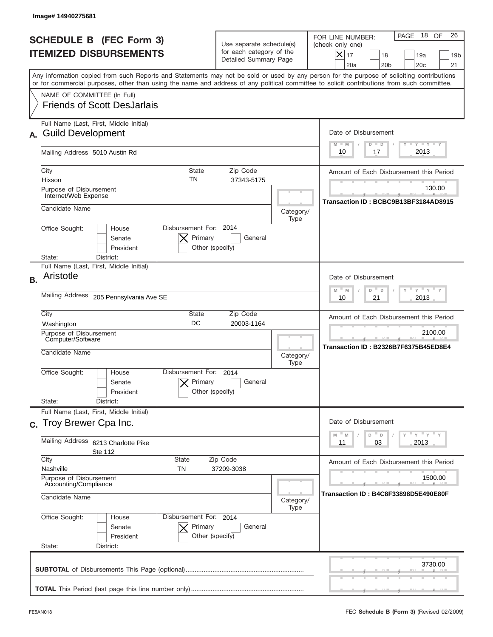|           | Image# 14940275681                                                                                                                                                                                                                                                                      |                                                                               |                                       |                                                                                                                                                                |
|-----------|-----------------------------------------------------------------------------------------------------------------------------------------------------------------------------------------------------------------------------------------------------------------------------------------|-------------------------------------------------------------------------------|---------------------------------------|----------------------------------------------------------------------------------------------------------------------------------------------------------------|
|           | <b>SCHEDULE B (FEC Form 3)</b><br><b>ITEMIZED DISBURSEMENTS</b>                                                                                                                                                                                                                         | Use separate schedule(s)<br>for each category of the<br>Detailed Summary Page |                                       | 26<br>- 18<br>OF<br>PAGE<br>FOR LINE NUMBER:<br>(check only one)<br>X<br>17<br>18<br>19a<br>19 <sub>b</sub><br>20 <sub>c</sub><br>21<br>20a<br>20 <sub>b</sub> |
|           | Any information copied from such Reports and Statements may not be sold or used by any person for the purpose of soliciting contributions<br>or for commercial purposes, other than using the name and address of any political committee to solicit contributions from such committee. |                                                                               |                                       |                                                                                                                                                                |
|           | NAME OF COMMITTEE (In Full)<br><b>Friends of Scott DesJarlais</b>                                                                                                                                                                                                                       |                                                                               |                                       |                                                                                                                                                                |
|           | Full Name (Last, First, Middle Initial)<br><b>Guild Development</b>                                                                                                                                                                                                                     |                                                                               |                                       | Date of Disbursement<br>$T - Y$ $T - Y$<br>$M - M$<br>$D$ $D$                                                                                                  |
|           | Mailing Address 5010 Austin Rd                                                                                                                                                                                                                                                          |                                                                               |                                       | 2013<br>10<br>17                                                                                                                                               |
|           | City<br><b>State</b><br>TN<br>Hixson                                                                                                                                                                                                                                                    | Zip Code<br>37343-5175                                                        |                                       | Amount of Each Disbursement this Period                                                                                                                        |
|           | Purpose of Disbursement<br>Internet/Web Expense                                                                                                                                                                                                                                         |                                                                               |                                       | 130.00<br>Transaction ID: BCBC9B13BF3184AD8915                                                                                                                 |
|           | Candidate Name                                                                                                                                                                                                                                                                          |                                                                               | Category/<br>Type                     |                                                                                                                                                                |
|           | Disbursement For: 2014<br>Office Sought:<br>House<br>Primary<br>Senate<br>President<br>Other (specify)<br>State:<br>District:                                                                                                                                                           | General                                                                       |                                       |                                                                                                                                                                |
| <b>B.</b> | Full Name (Last, First, Middle Initial)<br>Aristotle                                                                                                                                                                                                                                    |                                                                               |                                       | Date of Disbursement<br>" γ " γ "<br>$M - M$<br>D<br>D                                                                                                         |
|           | Mailing Address<br>205 Pennsylvania Ave SE                                                                                                                                                                                                                                              | 2013<br>10<br>21                                                              |                                       |                                                                                                                                                                |
|           | City<br>State<br>DC<br>Washington                                                                                                                                                                                                                                                       | Amount of Each Disbursement this Period                                       |                                       |                                                                                                                                                                |
|           | Purpose of Disbursement<br>Computer/Software<br>Candidate Name                                                                                                                                                                                                                          |                                                                               |                                       | 2100.00<br>Transaction ID: B2326B7F6375B45ED8E4                                                                                                                |
|           | Disbursement For:<br>Office Sought:<br>House<br>Primary<br>Senate<br>President<br>Other (specify)                                                                                                                                                                                       | 2014<br>General                                                               | Category/<br>Type                     |                                                                                                                                                                |
|           | State:<br>District:<br>Full Name (Last, First, Middle Initial)                                                                                                                                                                                                                          |                                                                               |                                       |                                                                                                                                                                |
|           | c. Troy Brewer Cpa Inc.                                                                                                                                                                                                                                                                 |                                                                               |                                       | Date of Disbursement<br>$=\frac{1}{\gamma}+\frac{1}{\gamma}+\frac{1}{\gamma}+\frac{1}{\gamma}$<br>$-M$<br>D<br>M<br>D                                          |
|           | <b>Mailing Address</b><br>6213 Charlotte Pike<br>Ste 112                                                                                                                                                                                                                                | 03<br>2013<br>11                                                              |                                       |                                                                                                                                                                |
|           | City<br>State<br>Nashville<br>TN                                                                                                                                                                                                                                                        | Zip Code<br>37209-3038                                                        |                                       | Amount of Each Disbursement this Period                                                                                                                        |
|           | Purpose of Disbursement<br>Accounting/Compliance                                                                                                                                                                                                                                        |                                                                               |                                       | 1500.00                                                                                                                                                        |
|           | Candidate Name                                                                                                                                                                                                                                                                          | Category/<br>Type                                                             | Transaction ID : B4C8F33898D5E490E80F |                                                                                                                                                                |
|           | Office Sought:<br>Disbursement For: 2014<br>House<br>Senate<br>Primary<br>President<br>Other (specify)<br>State:<br>District:                                                                                                                                                           | General                                                                       |                                       |                                                                                                                                                                |
|           |                                                                                                                                                                                                                                                                                         |                                                                               |                                       | 3730.00                                                                                                                                                        |
|           |                                                                                                                                                                                                                                                                                         |                                                                               |                                       |                                                                                                                                                                |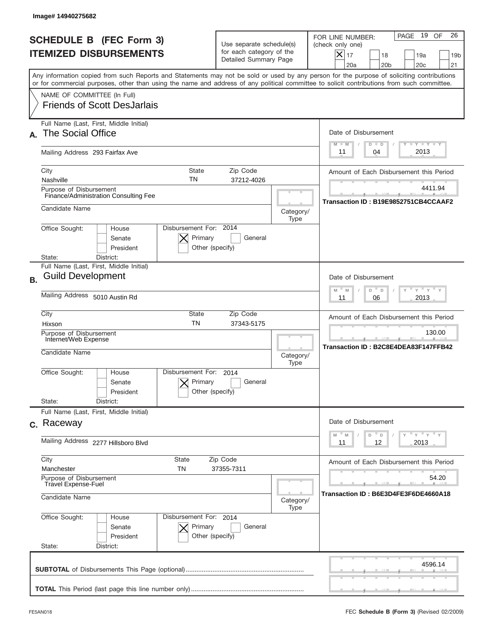|           | Image# 14940275682                                                                                                                                                                                                                                                                      |                                                                               |                                       |                                                                                                                                                             |
|-----------|-----------------------------------------------------------------------------------------------------------------------------------------------------------------------------------------------------------------------------------------------------------------------------------------|-------------------------------------------------------------------------------|---------------------------------------|-------------------------------------------------------------------------------------------------------------------------------------------------------------|
|           | <b>SCHEDULE B (FEC Form 3)</b><br><b>ITEMIZED DISBURSEMENTS</b>                                                                                                                                                                                                                         | Use separate schedule(s)<br>for each category of the<br>Detailed Summary Page |                                       | 26<br>PAGE 19<br>OF<br>FOR LINE NUMBER:<br>(check only one)<br>$X _{17}$<br>18<br>19a<br>19 <sub>b</sub><br>20 <sub>c</sub><br>20a<br>20 <sub>b</sub><br>21 |
|           | Any information copied from such Reports and Statements may not be sold or used by any person for the purpose of soliciting contributions<br>or for commercial purposes, other than using the name and address of any political committee to solicit contributions from such committee. |                                                                               |                                       |                                                                                                                                                             |
|           | NAME OF COMMITTEE (In Full)<br><b>Friends of Scott DesJarlais</b>                                                                                                                                                                                                                       |                                                                               |                                       |                                                                                                                                                             |
| А.        | Full Name (Last, First, Middle Initial)<br><b>The Social Office</b>                                                                                                                                                                                                                     |                                                                               |                                       | Date of Disbursement<br>$T - Y$ $T - Y$<br>$D$ $D$<br>$M - M$                                                                                               |
|           | Mailing Address 293 Fairfax Ave                                                                                                                                                                                                                                                         |                                                                               |                                       | 2013<br>11<br>04                                                                                                                                            |
|           | City<br>State<br>TN<br>Nashville                                                                                                                                                                                                                                                        | Zip Code<br>37212-4026                                                        |                                       | Amount of Each Disbursement this Period                                                                                                                     |
|           | Purpose of Disbursement<br>Finance/Administration Consulting Fee                                                                                                                                                                                                                        |                                                                               |                                       | 4411.94<br>Transaction ID: B19E9852751CB4CCAAF2                                                                                                             |
|           | Candidate Name                                                                                                                                                                                                                                                                          |                                                                               | Category/<br>Type                     |                                                                                                                                                             |
|           | Disbursement For: 2014<br>Office Sought:<br>House<br>Primary<br>Senate<br>President<br>Other (specify)<br>State:<br>District:                                                                                                                                                           | General                                                                       |                                       |                                                                                                                                                             |
| <b>B.</b> | Full Name (Last, First, Middle Initial)<br><b>Guild Development</b>                                                                                                                                                                                                                     |                                                                               |                                       | Date of Disbursement<br>$-M$<br>≡ γ ≡ γ ≡<br>M<br>D<br>D                                                                                                    |
|           | Mailing Address 5010 Austin Rd                                                                                                                                                                                                                                                          | 2013<br>11<br>06                                                              |                                       |                                                                                                                                                             |
|           | City<br>State<br><b>TN</b><br>Hixson                                                                                                                                                                                                                                                    | Zip Code<br>37343-5175                                                        |                                       | Amount of Each Disbursement this Period                                                                                                                     |
|           | Purpose of Disbursement<br>Internet/Web Expense<br>Candidate Name                                                                                                                                                                                                                       |                                                                               |                                       | 130.00<br>Transaction ID: B2C8E4DEA83F147FFB42                                                                                                              |
|           | Disbursement For:<br>Office Sought:<br>House<br>Primary<br>Senate<br>President                                                                                                                                                                                                          | 2014<br>General<br>Other (specify)                                            | Category/<br>Type                     |                                                                                                                                                             |
|           | State:<br>District:<br>Full Name (Last, First, Middle Initial)                                                                                                                                                                                                                          |                                                                               |                                       |                                                                                                                                                             |
|           | c. Raceway                                                                                                                                                                                                                                                                              |                                                                               |                                       | Date of Disbursement                                                                                                                                        |
|           | Mailing Address 2277 Hillsboro Blvd                                                                                                                                                                                                                                                     | ≡ γ ≡ γ ≡ γ<br>M<br>D<br>M<br>D<br>12<br>2013<br>11                           |                                       |                                                                                                                                                             |
|           | City<br><b>State</b><br>Zip Code<br>37355-7311<br>Manchester<br>TN<br>Purpose of Disbursement<br><b>Travel Expense-Fuel</b>                                                                                                                                                             |                                                                               |                                       | Amount of Each Disbursement this Period<br>54.20                                                                                                            |
|           | Candidate Name                                                                                                                                                                                                                                                                          | Category/<br>Type                                                             | Transaction ID : B6E3D4FE3F6DE4660A18 |                                                                                                                                                             |
|           | Office Sought:<br>Disbursement For: 2014<br>House<br>Senate<br>Primary<br>President<br>State:<br>District:                                                                                                                                                                              | General<br>Other (specify)                                                    |                                       |                                                                                                                                                             |
|           |                                                                                                                                                                                                                                                                                         |                                                                               |                                       | 4596.14                                                                                                                                                     |
|           |                                                                                                                                                                                                                                                                                         |                                                                               |                                       |                                                                                                                                                             |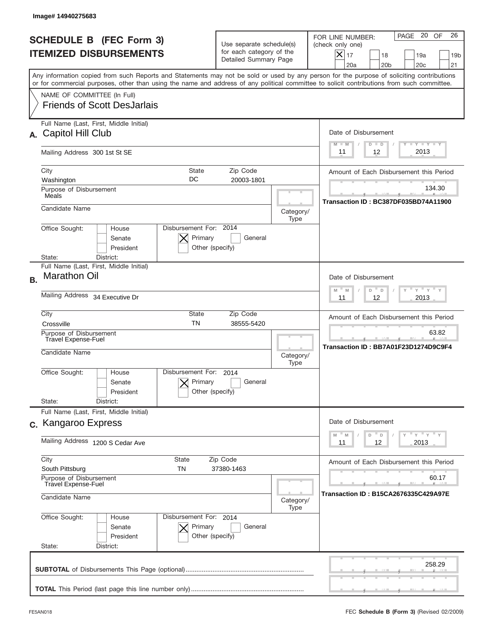|           | Image# 14940275683                                                                                                                                                                                                                                                                      |                                                         |                                                                               |                                                                                                                                                             |
|-----------|-----------------------------------------------------------------------------------------------------------------------------------------------------------------------------------------------------------------------------------------------------------------------------------------|---------------------------------------------------------|-------------------------------------------------------------------------------|-------------------------------------------------------------------------------------------------------------------------------------------------------------|
|           | <b>SCHEDULE B (FEC Form 3)</b><br><b>ITEMIZED DISBURSEMENTS</b>                                                                                                                                                                                                                         |                                                         | Use separate schedule(s)<br>for each category of the<br>Detailed Summary Page | 26<br>PAGE 20<br>OF<br>FOR LINE NUMBER:<br>(check only one)<br>$X _{17}$<br>18<br>19a<br>19 <sub>b</sub><br>20a<br>20 <sub>b</sub><br>20 <sub>c</sub><br>21 |
|           | Any information copied from such Reports and Statements may not be sold or used by any person for the purpose of soliciting contributions<br>or for commercial purposes, other than using the name and address of any political committee to solicit contributions from such committee. |                                                         |                                                                               |                                                                                                                                                             |
|           | NAME OF COMMITTEE (In Full)<br><b>Friends of Scott DesJarlais</b>                                                                                                                                                                                                                       |                                                         |                                                                               |                                                                                                                                                             |
| А.        | Full Name (Last, First, Middle Initial)<br>Capitol Hill Club                                                                                                                                                                                                                            |                                                         |                                                                               | Date of Disbursement<br><b>TANK TANK</b><br>$M - M$<br>$D$ $D$                                                                                              |
|           | Mailing Address 300 1st St SE                                                                                                                                                                                                                                                           |                                                         |                                                                               | 2013<br>12<br>11                                                                                                                                            |
|           | City<br>Washington                                                                                                                                                                                                                                                                      | <b>State</b><br>Zip Code<br>DC<br>20003-1801            |                                                                               | Amount of Each Disbursement this Period                                                                                                                     |
|           | Purpose of Disbursement<br>Meals                                                                                                                                                                                                                                                        |                                                         |                                                                               | 134.30<br>Transaction ID: BC387DF035BD74A11900                                                                                                              |
|           | Candidate Name                                                                                                                                                                                                                                                                          |                                                         | Category/<br>Type                                                             |                                                                                                                                                             |
|           | Office Sought:<br>House<br>Senate<br>President<br>State:<br>District:                                                                                                                                                                                                                   | Disbursement For: 2014<br>Primary<br>Other (specify)    | General                                                                       |                                                                                                                                                             |
| <b>B.</b> | Full Name (Last, First, Middle Initial)<br><b>Marathon Oil</b>                                                                                                                                                                                                                          |                                                         |                                                                               | Date of Disbursement<br>$-M$<br>$Y = Y$<br>M<br>D                                                                                                           |
|           | Mailing Address 34 Executive Dr                                                                                                                                                                                                                                                         |                                                         |                                                                               | D<br>12<br>2013<br>11                                                                                                                                       |
|           | City<br>Crossville                                                                                                                                                                                                                                                                      | State<br>Zip Code<br><b>TN</b><br>38555-5420            |                                                                               | Amount of Each Disbursement this Period                                                                                                                     |
|           | Purpose of Disbursement<br>Travel Expense-Fuel<br>Candidate Name                                                                                                                                                                                                                        |                                                         | Category/<br>Type                                                             | 63.82<br>Transaction ID: BB7A01F23D1274D9C9F4                                                                                                               |
|           | Office Sought:<br>House<br>Senate<br>President<br>State:<br>District:                                                                                                                                                                                                                   | Disbursement For:<br>2014<br>Primary<br>Other (specify) | General                                                                       |                                                                                                                                                             |
|           | Full Name (Last, First, Middle Initial)<br>c. Kangaroo Express                                                                                                                                                                                                                          |                                                         |                                                                               | Date of Disbursement                                                                                                                                        |
|           | Mailing Address 1200 S Cedar Ave                                                                                                                                                                                                                                                        |                                                         |                                                                               | ≡ γ ≡ γ ≡ γ<br>$-M$<br>D<br>M<br>D<br>12<br>2013<br>11                                                                                                      |
|           | City<br>State<br>South Pittsburg<br>TN                                                                                                                                                                                                                                                  | Zip Code<br>37380-1463                                  |                                                                               | Amount of Each Disbursement this Period                                                                                                                     |
|           | Purpose of Disbursement<br><b>Travel Expense-Fuel</b><br>Candidate Name                                                                                                                                                                                                                 |                                                         |                                                                               | 60.17<br>Transaction ID: B15CA2676335C429A97E<br>Category/                                                                                                  |
|           | Office Sought:<br>House<br>Senate<br>President<br>State:<br>District:                                                                                                                                                                                                                   | Disbursement For: 2014<br>Primary<br>Other (specify)    | Type<br>General                                                               |                                                                                                                                                             |
|           |                                                                                                                                                                                                                                                                                         |                                                         |                                                                               | 258.29                                                                                                                                                      |
|           |                                                                                                                                                                                                                                                                                         |                                                         |                                                                               |                                                                                                                                                             |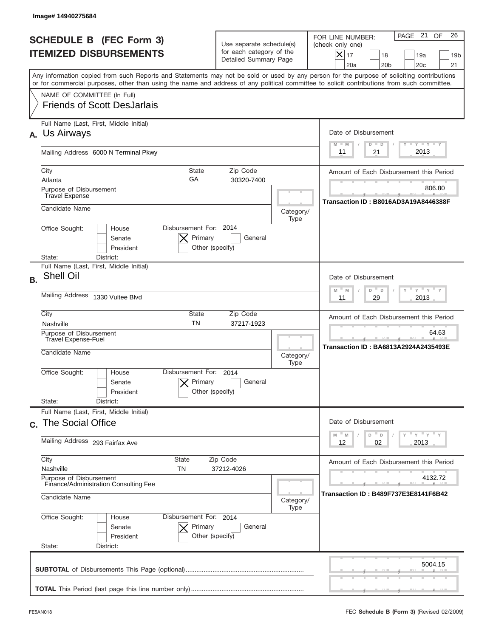|           | Image#14940275684                                                                                                                                                                                                                                                                       |                                                                               |                   |                                                                                                                                                                    |
|-----------|-----------------------------------------------------------------------------------------------------------------------------------------------------------------------------------------------------------------------------------------------------------------------------------------|-------------------------------------------------------------------------------|-------------------|--------------------------------------------------------------------------------------------------------------------------------------------------------------------|
|           | <b>SCHEDULE B (FEC Form 3)</b><br><b>ITEMIZED DISBURSEMENTS</b>                                                                                                                                                                                                                         | Use separate schedule(s)<br>for each category of the<br>Detailed Summary Page |                   | 26<br>PAGE 21 OF<br>FOR LINE NUMBER:<br>(check only one)<br>$ \mathsf{X} _{17}$<br>18<br>19a<br>19 <sub>b</sub><br>20a<br>20 <sub>b</sub><br>20 <sub>c</sub><br>21 |
|           | Any information copied from such Reports and Statements may not be sold or used by any person for the purpose of soliciting contributions<br>or for commercial purposes, other than using the name and address of any political committee to solicit contributions from such committee. |                                                                               |                   |                                                                                                                                                                    |
|           | NAME OF COMMITTEE (In Full)<br><b>Friends of Scott DesJarlais</b>                                                                                                                                                                                                                       |                                                                               |                   |                                                                                                                                                                    |
| <b>A.</b> | Full Name (Last, First, Middle Initial)<br>Us Airways                                                                                                                                                                                                                                   |                                                                               |                   | Date of Disbursement<br>Y TY TY TY<br>$M - M$<br>$D$ $D$                                                                                                           |
|           | Mailing Address 6000 N Terminal Pkwy                                                                                                                                                                                                                                                    | 2013<br>21<br>11                                                              |                   |                                                                                                                                                                    |
|           | City<br><b>State</b><br>GA<br>Atlanta                                                                                                                                                                                                                                                   | Zip Code<br>30320-7400                                                        |                   | Amount of Each Disbursement this Period                                                                                                                            |
|           | Purpose of Disbursement<br><b>Travel Expense</b>                                                                                                                                                                                                                                        |                                                                               |                   | 806.80                                                                                                                                                             |
|           | Candidate Name                                                                                                                                                                                                                                                                          |                                                                               | Category/<br>Type | Transaction ID: B8016AD3A19A8446388F                                                                                                                               |
|           | Disbursement For: 2014<br>Office Sought:<br>House<br>Primary<br>Senate<br>President<br>Other (specify)                                                                                                                                                                                  | General                                                                       |                   |                                                                                                                                                                    |
|           | State:<br>District:<br>Full Name (Last, First, Middle Initial)                                                                                                                                                                                                                          |                                                                               |                   |                                                                                                                                                                    |
| <b>B.</b> | <b>Shell Oil</b>                                                                                                                                                                                                                                                                        |                                                                               |                   | Date of Disbursement<br>$\cdots$ $\gamma$ $\cdots$ $\gamma$ $\cdots$ $\gamma$<br>$M - M$<br>D<br>D                                                                 |
|           | Mailing Address<br>1330 Vultee Blvd                                                                                                                                                                                                                                                     | 2013<br>11<br>29                                                              |                   |                                                                                                                                                                    |
|           | City<br>State<br><b>TN</b><br>Nashville                                                                                                                                                                                                                                                 | Zip Code<br>37217-1923                                                        |                   | Amount of Each Disbursement this Period                                                                                                                            |
|           | Purpose of Disbursement<br>Travel Expense-Fuel<br>Candidate Name                                                                                                                                                                                                                        |                                                                               | Category/         | 64.63<br>Transaction ID: BA6813A2924A2435493E                                                                                                                      |
|           | Disbursement For:<br>Office Sought:<br>House<br>Primary<br>Senate<br>Other (specify)<br>President<br>State:<br>District:                                                                                                                                                                | 2014<br>General                                                               | Type              |                                                                                                                                                                    |
|           | Full Name (Last, First, Middle Initial)<br>c. The Social Office                                                                                                                                                                                                                         |                                                                               |                   | Date of Disbursement                                                                                                                                               |
|           | Mailing Address 293 Fairfax Ave                                                                                                                                                                                                                                                         |                                                                               |                   | $\mathbb{F}$ $\mathsf{y}$ $\mathbb{F}$ $\mathsf{y}$ $\mathbb{F}$ $\mathsf{y}$<br>${\mathbb M}$<br>D<br>M<br>D<br>02<br>2013<br>12                                  |
|           | City<br>State<br>Zip Code<br>Nashville<br>TN<br>37212-4026                                                                                                                                                                                                                              |                                                                               |                   | Amount of Each Disbursement this Period                                                                                                                            |
|           | Purpose of Disbursement<br>Finance/Administration Consulting Fee<br>Candidate Name                                                                                                                                                                                                      |                                                                               | Category/<br>Type | 4132.72<br>Transaction ID : B489F737E3E8141F6B42                                                                                                                   |
|           | Office Sought:<br>Disbursement For: 2014<br>House<br>Senate<br>Primary<br>President<br>Other (specify)<br>State:<br>District:                                                                                                                                                           | General                                                                       |                   |                                                                                                                                                                    |
|           |                                                                                                                                                                                                                                                                                         |                                                                               |                   | 5004.15                                                                                                                                                            |
|           |                                                                                                                                                                                                                                                                                         |                                                                               |                   |                                                                                                                                                                    |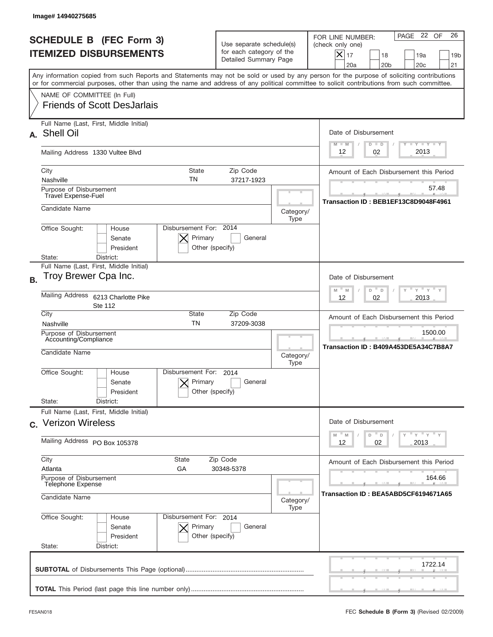|           | Image#14940275685                                                                                                                                                                                                                                                                       |                                                                               |                   |                                                                                                                                                               |
|-----------|-----------------------------------------------------------------------------------------------------------------------------------------------------------------------------------------------------------------------------------------------------------------------------------------|-------------------------------------------------------------------------------|-------------------|---------------------------------------------------------------------------------------------------------------------------------------------------------------|
|           | <b>SCHEDULE B (FEC Form 3)</b><br><b>ITEMIZED DISBURSEMENTS</b>                                                                                                                                                                                                                         | Use separate schedule(s)<br>for each category of the<br>Detailed Summary Page |                   | 26<br>PAGE 22 OF<br>FOR LINE NUMBER:<br>(check only one)<br>$\times$<br>17<br>18<br>19a<br>19 <sub>b</sub><br>20a<br>20 <sub>b</sub><br>20 <sub>c</sub><br>21 |
|           | Any information copied from such Reports and Statements may not be sold or used by any person for the purpose of soliciting contributions<br>or for commercial purposes, other than using the name and address of any political committee to solicit contributions from such committee. |                                                                               |                   |                                                                                                                                                               |
|           | NAME OF COMMITTEE (In Full)<br><b>Friends of Scott DesJarlais</b>                                                                                                                                                                                                                       |                                                                               |                   |                                                                                                                                                               |
| А.        | Full Name (Last, First, Middle Initial)<br>Shell Oil                                                                                                                                                                                                                                    |                                                                               |                   | Date of Disbursement<br>$T - Y$ $T - Y$<br>$M - M$<br>$D$ $D$                                                                                                 |
|           | Mailing Address 1330 Vultee Blvd                                                                                                                                                                                                                                                        |                                                                               |                   | 2013<br>02<br>12                                                                                                                                              |
|           | City<br><b>State</b><br>TN<br>Nashville                                                                                                                                                                                                                                                 | Zip Code<br>37217-1923                                                        |                   | Amount of Each Disbursement this Period                                                                                                                       |
|           | Purpose of Disbursement<br><b>Travel Expense-Fuel</b>                                                                                                                                                                                                                                   |                                                                               |                   | 57.48<br>Transaction ID: BEB1EF13C8D9048F4961                                                                                                                 |
|           | Candidate Name                                                                                                                                                                                                                                                                          |                                                                               | Category/<br>Type |                                                                                                                                                               |
|           | Disbursement For: 2014<br>Office Sought:<br>House<br>Primary<br>Senate<br>President<br>Other (specify)<br>District:<br>State:                                                                                                                                                           | General                                                                       |                   |                                                                                                                                                               |
| <b>B.</b> | Full Name (Last, First, Middle Initial)<br>Troy Brewer Cpa Inc.                                                                                                                                                                                                                         |                                                                               |                   | Date of Disbursement<br>$M - M$<br>$Y = Y$<br>D<br>$\Box$                                                                                                     |
|           | Mailing Address<br>6213 Charlotte Pike<br><b>Ste 112</b>                                                                                                                                                                                                                                | 02<br>2013<br>12                                                              |                   |                                                                                                                                                               |
|           | City<br>State<br><b>TN</b><br>Nashville                                                                                                                                                                                                                                                 | Zip Code<br>37209-3038                                                        |                   | Amount of Each Disbursement this Period                                                                                                                       |
|           | Purpose of Disbursement<br>Accounting/Compliance<br>Candidate Name                                                                                                                                                                                                                      |                                                                               |                   | 1500.00<br>Transaction ID: B409A453DE5A34C7B8A7                                                                                                               |
|           | Disbursement For:<br>Office Sought:<br>House<br>Primary<br>Senate<br>Other (specify)<br>President                                                                                                                                                                                       | 2014<br>General                                                               | Type              |                                                                                                                                                               |
|           | State:<br>District:<br>Full Name (Last, First, Middle Initial)                                                                                                                                                                                                                          |                                                                               |                   |                                                                                                                                                               |
|           | c. Verizon Wireless                                                                                                                                                                                                                                                                     |                                                                               |                   | Date of Disbursement<br>≡ γ ≡ γ ≡ γ<br>$-M$<br>D<br>M<br>D                                                                                                    |
|           | Mailing Address PO Box 105378                                                                                                                                                                                                                                                           |                                                                               |                   | 12<br>02<br>2013                                                                                                                                              |
|           | City<br>State<br>Atlanta<br>GА                                                                                                                                                                                                                                                          | Zip Code<br>30348-5378                                                        |                   | Amount of Each Disbursement this Period                                                                                                                       |
|           | Purpose of Disbursement<br><b>Telephone Expense</b><br>Candidate Name<br>Category/<br>Office Sought:<br>Disbursement For: 2014<br>House                                                                                                                                                 |                                                                               |                   | 164.66<br>Transaction ID: BEA5ABD5CF6194671A65                                                                                                                |
|           |                                                                                                                                                                                                                                                                                         |                                                                               |                   |                                                                                                                                                               |
|           | Primary<br>Senate<br>President<br>Other (specify)<br>State:<br>District:                                                                                                                                                                                                                | General                                                                       |                   |                                                                                                                                                               |
|           |                                                                                                                                                                                                                                                                                         |                                                                               |                   | 1722.14                                                                                                                                                       |
|           |                                                                                                                                                                                                                                                                                         |                                                                               |                   |                                                                                                                                                               |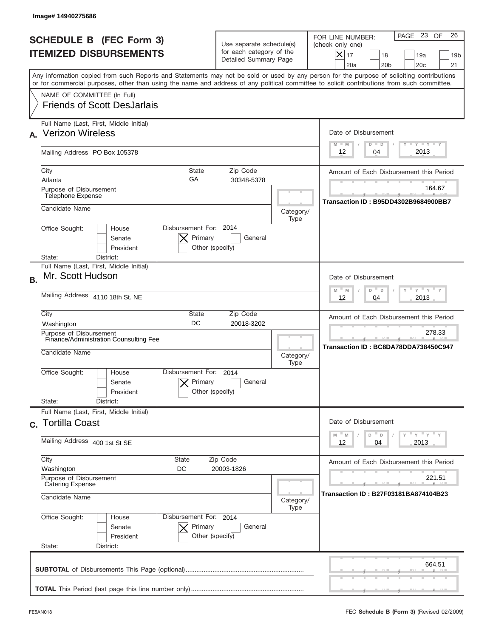|           | Image# 14940275686                                                                                                                                                                                                                                                                      |                                                                               |                                            |                                                                                                                                                                            |
|-----------|-----------------------------------------------------------------------------------------------------------------------------------------------------------------------------------------------------------------------------------------------------------------------------------------|-------------------------------------------------------------------------------|--------------------------------------------|----------------------------------------------------------------------------------------------------------------------------------------------------------------------------|
|           | <b>SCHEDULE B (FEC Form 3)</b><br><b>ITEMIZED DISBURSEMENTS</b>                                                                                                                                                                                                                         | Use separate schedule(s)<br>for each category of the<br>Detailed Summary Page |                                            | 26<br>PAGE 23 OF<br>FOR LINE NUMBER:<br>(check only one)<br>$\boldsymbol{\times}$<br>17<br>18<br>19a<br>19 <sub>b</sub><br>20a<br>20 <sub>b</sub><br>20 <sub>c</sub><br>21 |
|           | Any information copied from such Reports and Statements may not be sold or used by any person for the purpose of soliciting contributions<br>or for commercial purposes, other than using the name and address of any political committee to solicit contributions from such committee. |                                                                               |                                            |                                                                                                                                                                            |
|           | NAME OF COMMITTEE (In Full)<br><b>Friends of Scott DesJarlais</b>                                                                                                                                                                                                                       |                                                                               |                                            |                                                                                                                                                                            |
|           | Full Name (Last, First, Middle Initial)<br><b>Verizon Wireless</b>                                                                                                                                                                                                                      |                                                                               |                                            | Date of Disbursement<br>Y TY TY TY<br>$M - M$<br>$D$ $D$                                                                                                                   |
|           | Mailing Address PO Box 105378                                                                                                                                                                                                                                                           |                                                                               |                                            | 2013<br>12<br>04                                                                                                                                                           |
|           | City<br>State<br>GA<br>Atlanta                                                                                                                                                                                                                                                          | Zip Code<br>30348-5378                                                        |                                            | Amount of Each Disbursement this Period                                                                                                                                    |
|           | Purpose of Disbursement<br>Telephone Expense                                                                                                                                                                                                                                            |                                                                               |                                            | 164.67<br>Transaction ID: B95DD4302B9684900BB7                                                                                                                             |
|           | Candidate Name<br>Disbursement For: 2014<br>Office Sought:<br>House                                                                                                                                                                                                                     |                                                                               | Category/<br>Type                          |                                                                                                                                                                            |
|           | Primary<br>Senate<br>Other (specify)<br>President<br>State:<br>District:                                                                                                                                                                                                                | General                                                                       |                                            |                                                                                                                                                                            |
| <b>B.</b> | Full Name (Last, First, Middle Initial)<br>Mr. Scott Hudson                                                                                                                                                                                                                             |                                                                               |                                            | Date of Disbursement<br>$\cdots$ $\gamma$ $\cdots$ $\gamma$ $\cdots$ $\gamma$                                                                                              |
|           | Mailing Address 4110 18th St. NE                                                                                                                                                                                                                                                        |                                                                               | $M - M$<br>D<br>$\Box$<br>2013<br>12<br>04 |                                                                                                                                                                            |
|           | City<br>State<br>DC<br>Washington                                                                                                                                                                                                                                                       | Zip Code<br>20018-3202                                                        |                                            | Amount of Each Disbursement this Period<br>278.33                                                                                                                          |
|           | Purpose of Disbursement<br>Finance/Administration Counsulting Fee<br>Candidate Name                                                                                                                                                                                                     |                                                                               |                                            | Transaction ID: BC8DA78DDA738450C947                                                                                                                                       |
|           | Disbursement For:<br>Office Sought:<br>House<br>Primary<br>Senate<br>Other (specify)<br>President                                                                                                                                                                                       | 2014<br>General                                                               |                                            |                                                                                                                                                                            |
|           | State:<br>District:<br>Full Name (Last, First, Middle Initial)<br>c. Tortilla Coast                                                                                                                                                                                                     |                                                                               |                                            | Date of Disbursement                                                                                                                                                       |
|           | Mailing Address 400 1st St SE                                                                                                                                                                                                                                                           |                                                                               |                                            | $Y$ $Y$ $Y$ $Y$ $Y$<br>M<br>$\mathbb M$<br>D<br>D<br>12<br>2013<br>04                                                                                                      |
|           | City<br><b>State</b><br>Washington<br>DC                                                                                                                                                                                                                                                | Zip Code<br>20003-1826                                                        |                                            | Amount of Each Disbursement this Period                                                                                                                                    |
|           | Purpose of Disbursement<br><b>Catering Expense</b><br>Candidate Name                                                                                                                                                                                                                    |                                                                               |                                            | 221.51<br>Transaction ID: B27F03181BA874104B23                                                                                                                             |
|           | Office Sought:<br>Disbursement For: 2014<br>House<br>Senate<br>Primary<br>President<br>Other (specify)<br>State:<br>District:                                                                                                                                                           | General                                                                       | Type                                       |                                                                                                                                                                            |
|           |                                                                                                                                                                                                                                                                                         |                                                                               |                                            | 664.51                                                                                                                                                                     |
|           |                                                                                                                                                                                                                                                                                         |                                                                               |                                            |                                                                                                                                                                            |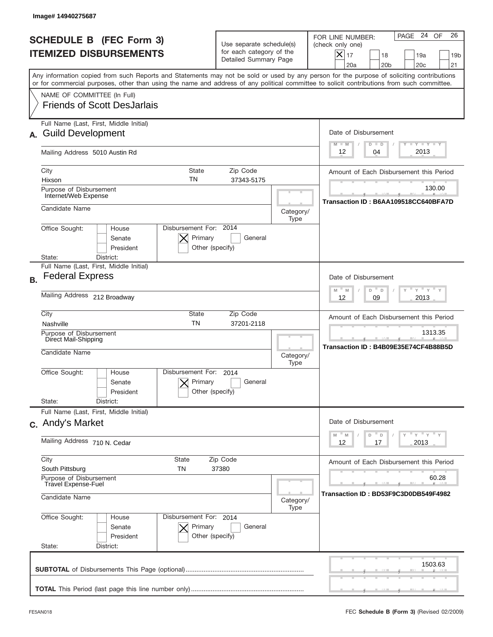|           | Image# 14940275687                                                                                                                                                                                                                                                                      |                                                                               |                   |                                                                                                                                                        |
|-----------|-----------------------------------------------------------------------------------------------------------------------------------------------------------------------------------------------------------------------------------------------------------------------------------------|-------------------------------------------------------------------------------|-------------------|--------------------------------------------------------------------------------------------------------------------------------------------------------|
|           | <b>SCHEDULE B (FEC Form 3)</b><br><b>ITEMIZED DISBURSEMENTS</b>                                                                                                                                                                                                                         | Use separate schedule(s)<br>for each category of the<br>Detailed Summary Page |                   | PAGE 24 OF<br>26<br>FOR LINE NUMBER:<br>(check only one)<br>X<br>17<br>18<br>19a<br>19 <sub>b</sub><br>20 <sub>c</sub><br>21<br>20a<br>20 <sub>b</sub> |
|           | Any information copied from such Reports and Statements may not be sold or used by any person for the purpose of soliciting contributions<br>or for commercial purposes, other than using the name and address of any political committee to solicit contributions from such committee. |                                                                               |                   |                                                                                                                                                        |
|           | NAME OF COMMITTEE (In Full)<br><b>Friends of Scott DesJarlais</b>                                                                                                                                                                                                                       |                                                                               |                   |                                                                                                                                                        |
|           | Full Name (Last, First, Middle Initial)<br><b>Guild Development</b>                                                                                                                                                                                                                     |                                                                               |                   | Date of Disbursement<br>$T - Y$ $T - Y$<br>$M - M$<br>$D$ $D$                                                                                          |
|           | Mailing Address 5010 Austin Rd                                                                                                                                                                                                                                                          |                                                                               |                   | 2013<br>04<br>12                                                                                                                                       |
|           | City<br><b>State</b><br>TN<br>Hixson<br>Purpose of Disbursement                                                                                                                                                                                                                         | Zip Code<br>37343-5175                                                        |                   | Amount of Each Disbursement this Period<br>130.00                                                                                                      |
|           | Internet/Web Expense<br>Candidate Name                                                                                                                                                                                                                                                  |                                                                               | Category/         | Transaction ID: B6AA109518CC640BFA7D                                                                                                                   |
|           | Disbursement For: 2014<br>Office Sought:<br>House<br>Primary<br>Senate<br>President<br>State:<br>District:                                                                                                                                                                              | General<br>Other (specify)                                                    | Type              |                                                                                                                                                        |
| <b>B.</b> | Full Name (Last, First, Middle Initial)<br><b>Federal Express</b>                                                                                                                                                                                                                       |                                                                               |                   | Date of Disbursement                                                                                                                                   |
|           | Mailing Address 212 Broadway                                                                                                                                                                                                                                                            | " γ " γ "<br>$M - M$<br>D<br>D<br>2013<br>12<br>09                            |                   |                                                                                                                                                        |
|           | City<br>State<br><b>TN</b><br>Nashville                                                                                                                                                                                                                                                 | Zip Code<br>37201-2118                                                        |                   | Amount of Each Disbursement this Period                                                                                                                |
|           | Purpose of Disbursement<br>Direct Mail-Shipping<br>Candidate Name                                                                                                                                                                                                                       |                                                                               |                   | 1313.35<br>Transaction ID: B4B09E35E74CF4B88B5D                                                                                                        |
|           | Disbursement For:<br>Office Sought:<br>House<br>Primary<br>Senate<br>President                                                                                                                                                                                                          | 2014<br>General<br>Other (specify)                                            |                   |                                                                                                                                                        |
|           | State:<br>District:<br>Full Name (Last, First, Middle Initial)                                                                                                                                                                                                                          |                                                                               |                   |                                                                                                                                                        |
|           | c. Andy's Market                                                                                                                                                                                                                                                                        |                                                                               |                   | Date of Disbursement<br>≡ γ ≡ γ ≡ γ<br>$-M$<br>M<br>D<br>D                                                                                             |
|           | Mailing Address 710 N. Cedar                                                                                                                                                                                                                                                            | 2013<br>12<br>17                                                              |                   |                                                                                                                                                        |
|           | City<br>State<br>South Pittsburg<br>TN                                                                                                                                                                                                                                                  | Zip Code<br>37380                                                             |                   | Amount of Each Disbursement this Period                                                                                                                |
|           | Purpose of Disbursement<br><b>Travel Expense-Fuel</b><br>Candidate Name                                                                                                                                                                                                                 |                                                                               |                   | 60.28<br>Transaction ID : BD53F9C3D0DB549F4982                                                                                                         |
|           | Office Sought:<br>Disbursement For: 2014<br>House<br>Senate<br>Primary<br>President<br>State:<br>District:                                                                                                                                                                              | General<br>Other (specify)                                                    | Category/<br>Type |                                                                                                                                                        |
|           |                                                                                                                                                                                                                                                                                         |                                                                               |                   | 1503.63                                                                                                                                                |
|           |                                                                                                                                                                                                                                                                                         |                                                                               |                   |                                                                                                                                                        |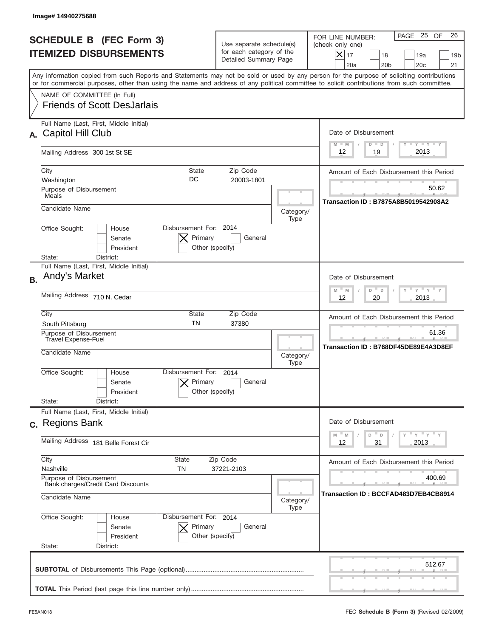|           | Image#14940275688                                                                                                                                                                                                                                                                       |                                                                               |                                                               |                                                                                                                                                             |
|-----------|-----------------------------------------------------------------------------------------------------------------------------------------------------------------------------------------------------------------------------------------------------------------------------------------|-------------------------------------------------------------------------------|---------------------------------------------------------------|-------------------------------------------------------------------------------------------------------------------------------------------------------------|
|           | <b>SCHEDULE B (FEC Form 3)</b><br><b>ITEMIZED DISBURSEMENTS</b>                                                                                                                                                                                                                         | Use separate schedule(s)<br>for each category of the<br>Detailed Summary Page |                                                               | 26<br>PAGE 25<br>OF<br>FOR LINE NUMBER:<br>(check only one)<br>$X _{17}$<br>18<br>19a<br>19 <sub>b</sub><br>20 <sub>c</sub><br>20a<br>20 <sub>b</sub><br>21 |
|           | Any information copied from such Reports and Statements may not be sold or used by any person for the purpose of soliciting contributions<br>or for commercial purposes, other than using the name and address of any political committee to solicit contributions from such committee. |                                                                               |                                                               |                                                                                                                                                             |
|           | NAME OF COMMITTEE (In Full)<br><b>Friends of Scott DesJarlais</b>                                                                                                                                                                                                                       |                                                                               |                                                               |                                                                                                                                                             |
| А.        | Full Name (Last, First, Middle Initial)<br>Capitol Hill Club                                                                                                                                                                                                                            |                                                                               | Date of Disbursement<br>$T - Y$ $T - Y$<br>$M - M$<br>$D$ $D$ |                                                                                                                                                             |
|           | Mailing Address 300 1st St SE                                                                                                                                                                                                                                                           |                                                                               |                                                               | 2013<br>19<br>12                                                                                                                                            |
|           | City<br>State<br>DC<br>Washington                                                                                                                                                                                                                                                       | Zip Code<br>20003-1801                                                        |                                                               | Amount of Each Disbursement this Period                                                                                                                     |
|           | Purpose of Disbursement<br>Meals                                                                                                                                                                                                                                                        |                                                                               |                                                               | 50.62<br><b>Transaction ID: B7875A8B5019542908A2</b>                                                                                                        |
|           | Candidate Name                                                                                                                                                                                                                                                                          |                                                                               | Category/<br>Type                                             |                                                                                                                                                             |
|           | Disbursement For: 2014<br>Office Sought:<br>House<br>Primary<br>Senate<br>President<br>Other (specify)<br>State:<br>District:                                                                                                                                                           | General                                                                       |                                                               |                                                                                                                                                             |
| <b>B.</b> | Full Name (Last, First, Middle Initial)<br>Andy's Market                                                                                                                                                                                                                                |                                                                               |                                                               | Date of Disbursement<br>$\cdots$ $\gamma$ $\cdots$ $\gamma$ $\cdots$<br>$M - M$                                                                             |
|           | Mailing Address 710 N. Cedar                                                                                                                                                                                                                                                            |                                                                               |                                                               | D<br>D<br>2013<br>12<br>20                                                                                                                                  |
|           | City<br>State<br><b>TN</b><br>South Pittsburg                                                                                                                                                                                                                                           | Zip Code<br>37380                                                             |                                                               | Amount of Each Disbursement this Period                                                                                                                     |
|           | Purpose of Disbursement<br>Travel Expense-Fuel<br>Candidate Name                                                                                                                                                                                                                        |                                                                               | Category/<br>Type                                             | 61.36<br>Transaction ID: B768DF45DE89E4A3D8EF                                                                                                               |
|           | Disbursement For:<br>Office Sought:<br>House<br>Primary<br>Senate<br>Other (specify)<br>President                                                                                                                                                                                       | 2014<br>General                                                               |                                                               |                                                                                                                                                             |
|           | State:<br>District:<br>Full Name (Last, First, Middle Initial)                                                                                                                                                                                                                          |                                                                               |                                                               |                                                                                                                                                             |
|           | c. Regions Bank                                                                                                                                                                                                                                                                         |                                                                               |                                                               | Date of Disbursement<br>≡ γ ≡ γ ≡ γ<br>D<br>M<br>M<br>D                                                                                                     |
|           | Mailing Address 181 Belle Forest Cir                                                                                                                                                                                                                                                    | 2013<br>12<br>31                                                              |                                                               |                                                                                                                                                             |
|           | City<br>State<br>Nashville<br>TN                                                                                                                                                                                                                                                        | Zip Code<br>37221-2103                                                        |                                                               | Amount of Each Disbursement this Period                                                                                                                     |
|           | Purpose of Disbursement<br>Bank charges/Credit Card Discounts<br>Candidate Name                                                                                                                                                                                                         |                                                                               | Category/                                                     | 400.69<br>Transaction ID : BCCFAD483D7EB4CB8914                                                                                                             |
|           | Office Sought:<br>Disbursement For: 2014<br>House<br>Senate<br>Primary<br>President<br>Other (specify)<br>State:<br>District:                                                                                                                                                           | General                                                                       | Type                                                          |                                                                                                                                                             |
|           |                                                                                                                                                                                                                                                                                         |                                                                               |                                                               | 512.67                                                                                                                                                      |
|           |                                                                                                                                                                                                                                                                                         |                                                                               |                                                               |                                                                                                                                                             |